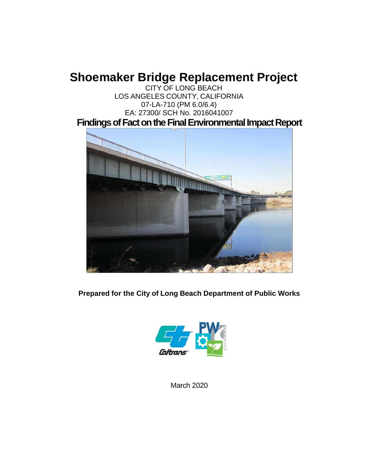# **Shoemaker Bridge Replacement Project**

CITY OF LONG BEACH LOS ANGELES COUNTY, CALIFORNIA 07-LA-710 (PM 6.0/6.4) EA: 27300/ SCH No. 2016041007 **Findings of Fact on the Final Environmental Impact Report**



**Prepared for the City of Long Beach Department of Public Works** 



March 2020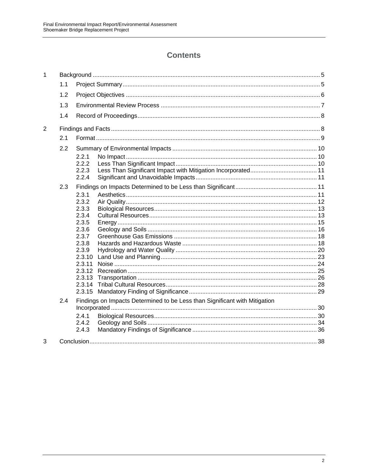### **Contents**

| 1 |     |                                                                            |  |  |  |
|---|-----|----------------------------------------------------------------------------|--|--|--|
|   | 1.1 |                                                                            |  |  |  |
|   | 1.2 |                                                                            |  |  |  |
|   | 1.3 |                                                                            |  |  |  |
|   | 1.4 |                                                                            |  |  |  |
| 2 |     |                                                                            |  |  |  |
|   | 2.1 |                                                                            |  |  |  |
|   | 2.2 |                                                                            |  |  |  |
|   |     | 2.2.1                                                                      |  |  |  |
|   |     | 2.2.2                                                                      |  |  |  |
|   |     | 2.2.3<br>2.2.4                                                             |  |  |  |
|   |     |                                                                            |  |  |  |
|   | 2.3 |                                                                            |  |  |  |
|   |     | 2.3.1                                                                      |  |  |  |
|   |     | 2.3.2                                                                      |  |  |  |
|   |     | 2.3.3                                                                      |  |  |  |
|   |     | 2.3.4<br>2.3.5                                                             |  |  |  |
|   |     | 2.3.6                                                                      |  |  |  |
|   |     | 2.3.7                                                                      |  |  |  |
|   |     | 2.3.8                                                                      |  |  |  |
|   |     | 2.3.9                                                                      |  |  |  |
|   |     | 2.3.10                                                                     |  |  |  |
|   |     | 2.3.11                                                                     |  |  |  |
|   |     | 2.3.12                                                                     |  |  |  |
|   |     | 2.3.13                                                                     |  |  |  |
|   |     | 2.3.14                                                                     |  |  |  |
|   |     | 2.3.15                                                                     |  |  |  |
|   | 2.4 | Findings on Impacts Determined to be Less than Significant with Mitigation |  |  |  |
|   |     |                                                                            |  |  |  |
|   |     | 2.4.1                                                                      |  |  |  |
|   |     | 2.4.2                                                                      |  |  |  |
|   |     | 2.4.3                                                                      |  |  |  |
| 3 |     |                                                                            |  |  |  |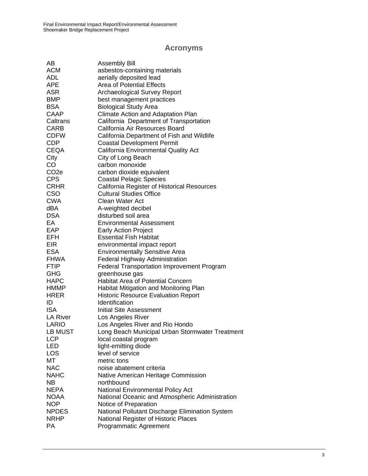## **Acronyms**

| AB<br><b>Assembly Bill</b>                                        |  |
|-------------------------------------------------------------------|--|
| ACM<br>asbestos-containing materials                              |  |
| aerially deposited lead<br><b>ADL</b>                             |  |
| <b>Area of Potential Effects</b><br>APE                           |  |
| <b>ASR</b><br><b>Archaeological Survey Report</b>                 |  |
| <b>BMP</b><br>best management practices                           |  |
| <b>BSA</b><br><b>Biological Study Area</b>                        |  |
| CAAP<br>Climate Action and Adaptation Plan                        |  |
| Caltrans<br>California Department of Transportation               |  |
| CARB<br>California Air Resources Board                            |  |
| California Department of Fish and Wildlife<br><b>CDFW</b>         |  |
| <b>CDP</b><br><b>Coastal Development Permit</b>                   |  |
| CEQA<br>California Environmental Quality Act                      |  |
| City<br>City of Long Beach                                        |  |
| CO<br>carbon monoxide                                             |  |
| CO <sub>2</sub> e<br>carbon dioxide equivalent                    |  |
| <b>CPS</b><br><b>Coastal Pelagic Species</b>                      |  |
| <b>CRHR</b><br>California Register of Historical Resources        |  |
| <b>CSO</b><br><b>Cultural Studies Office</b>                      |  |
| <b>CWA</b><br>Clean Water Act                                     |  |
| dBA<br>A-weighted decibel                                         |  |
| <b>DSA</b><br>disturbed soil area                                 |  |
| EA<br><b>Environmental Assessment</b>                             |  |
| EAP<br><b>Early Action Project</b>                                |  |
| <b>EFH</b><br><b>Essential Fish Habitat</b>                       |  |
| <b>EIR</b><br>environmental impact report                         |  |
| <b>ESA</b><br><b>Environmentally Sensitive Area</b>               |  |
| FHWA<br>Federal Highway Administration                            |  |
| <b>FTIP</b><br><b>Federal Transportation Improvement Program</b>  |  |
| GHG<br>greenhouse gas                                             |  |
| <b>HAPC</b><br><b>Habitat Area of Potential Concern</b>           |  |
| HMMP<br>Habitat Mitigation and Monitoring Plan                    |  |
| <b>HRER</b><br><b>Historic Resource Evaluation Report</b>         |  |
| ID<br>Identification                                              |  |
| <b>ISA</b><br>Initial Site Assessment                             |  |
| LA River<br>Los Angeles River                                     |  |
| LARIO<br>Los Angeles River and Rio Hondo                          |  |
| <b>LB MUST</b><br>Long Beach Municipal Urban Stormwater Treatment |  |
| <b>LCP</b><br>local coastal program                               |  |
| light-emitting diode<br>LED                                       |  |
| level of service<br>LOS                                           |  |
| МT<br>metric tons                                                 |  |
| <b>NAC</b><br>noise abatement criteria                            |  |
| <b>NAHC</b><br>Native American Heritage Commission                |  |
| <b>NB</b><br>northbound                                           |  |
| <b>NEPA</b><br>National Environmental Policy Act                  |  |
| <b>NOAA</b><br>National Oceanic and Atmospheric Administration    |  |
| <b>NOP</b><br>Notice of Preparation                               |  |
| National Pollutant Discharge Elimination System<br><b>NPDES</b>   |  |
| <b>NRHP</b><br>National Register of Historic Places               |  |
| PA<br><b>Programmatic Agreement</b>                               |  |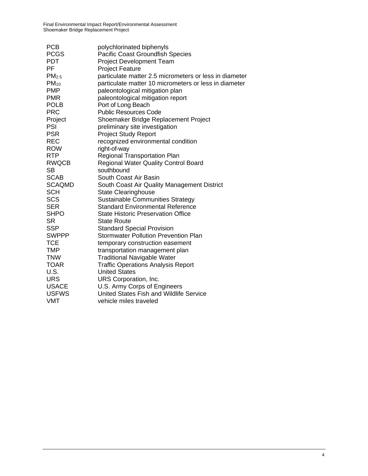| <b>PCB</b>        | polychlorinated biphenyls                              |
|-------------------|--------------------------------------------------------|
| <b>PCGS</b>       | Pacific Coast Groundfish Species                       |
| <b>PDT</b>        | <b>Project Development Team</b>                        |
| PF                | <b>Project Feature</b>                                 |
| PM <sub>2.5</sub> | particulate matter 2.5 micrometers or less in diameter |
| $PM_{10}$         | particulate matter 10 micrometers or less in diameter  |
| <b>PMP</b>        | paleontological mitigation plan                        |
| <b>PMR</b>        | paleontological mitigation report                      |
| <b>POLB</b>       | Port of Long Beach                                     |
| <b>PRC</b>        | <b>Public Resources Code</b>                           |
| Project           | Shoemaker Bridge Replacement Project                   |
| PSI               | preliminary site investigation                         |
| <b>PSR</b>        | <b>Project Study Report</b>                            |
| <b>REC</b>        | recognized environmental condition                     |
| <b>ROW</b>        | right-of-way                                           |
| <b>RTP</b>        | <b>Regional Transportation Plan</b>                    |
| RWQCB             | <b>Regional Water Quality Control Board</b>            |
| <b>SB</b>         | southbound                                             |
| <b>SCAB</b>       | South Coast Air Basin                                  |
| <b>SCAQMD</b>     | South Coast Air Quality Management District            |
| <b>SCH</b>        | <b>State Clearinghouse</b>                             |
| <b>SCS</b>        | Sustainable Communities Strategy                       |
| <b>SER</b>        | <b>Standard Environmental Reference</b>                |
| <b>SHPO</b>       | <b>State Historic Preservation Office</b>              |
| <b>SR</b>         | <b>State Route</b>                                     |
| <b>SSP</b>        | <b>Standard Special Provision</b>                      |
| <b>SWPPP</b>      | <b>Stormwater Pollution Prevention Plan</b>            |
| <b>TCE</b>        | temporary construction easement                        |
| <b>TMP</b>        | transportation management plan                         |
| <b>TNW</b>        | <b>Traditional Navigable Water</b>                     |
| <b>TOAR</b>       | <b>Traffic Operations Analysis Report</b>              |
| U.S.              | <b>United States</b>                                   |
| <b>URS</b>        | URS Corporation, Inc.                                  |
| <b>USACE</b>      | U.S. Army Corps of Engineers                           |
| <b>USFWS</b>      | United States Fish and Wildlife Service                |
| <b>VMT</b>        | vehicle miles traveled                                 |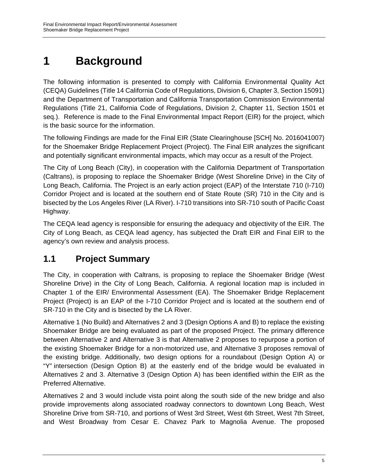# **1 Background**

The following information is presented to comply with California Environmental Quality Act (CEQA) Guidelines (Title 14 California Code of Regulations, Division 6, Chapter 3, Section 15091) and the Department of Transportation and California Transportation Commission Environmental Regulations (Title 21, California Code of Regulations, Division 2, Chapter 11, Section 1501 et seq.). Reference is made to the Final Environmental Impact Report (EIR) for the project, which is the basic source for the information.

The following Findings are made for the Final EIR (State Clearinghouse [SCH] No. 2016041007) for the Shoemaker Bridge Replacement Project (Project). The Final EIR analyzes the significant and potentially significant environmental impacts, which may occur as a result of the Project.

The City of Long Beach (City), in cooperation with the California Department of Transportation (Caltrans), is proposing to replace the Shoemaker Bridge (West Shoreline Drive) in the City of Long Beach, California. The Project is an early action project (EAP) of the Interstate 710 (I-710) Corridor Project and is located at the southern end of State Route (SR) 710 in the City and is bisected by the Los Angeles River (LA River). I-710 transitions into SR-710 south of Pacific Coast Highway.

The CEQA lead agency is responsible for ensuring the adequacy and objectivity of the EIR. The City of Long Beach, as CEQA lead agency, has subjected the Draft EIR and Final EIR to the agency's own review and analysis process.

# **1.1 Project Summary**

The City, in cooperation with Caltrans, is proposing to replace the Shoemaker Bridge (West Shoreline Drive) in the City of Long Beach, California. A regional location map is included in Chapter 1 of the EIR/ Environmental Assessment (EA). The Shoemaker Bridge Replacement Project (Project) is an EAP of the I-710 Corridor Project and is located at the southern end of SR-710 in the City and is bisected by the LA River.

Alternative 1 (No Build) and Alternatives 2 and 3 (Design Options A and B) to replace the existing Shoemaker Bridge are being evaluated as part of the proposed Project. The primary difference between Alternative 2 and Alternative 3 is that Alternative 2 proposes to repurpose a portion of the existing Shoemaker Bridge for a non-motorized use, and Alternative 3 proposes removal of the existing bridge. Additionally, two design options for a roundabout (Design Option A) or "Y" intersection (Design Option B) at the easterly end of the bridge would be evaluated in Alternatives 2 and 3. Alternative 3 (Design Option A) has been identified within the EIR as the Preferred Alternative.

Alternatives 2 and 3 would include vista point along the south side of the new bridge and also provide improvements along associated roadway connectors to downtown Long Beach, West Shoreline Drive from SR-710, and portions of West 3rd Street, West 6th Street, West 7th Street, and West Broadway from Cesar E. Chavez Park to Magnolia Avenue. The proposed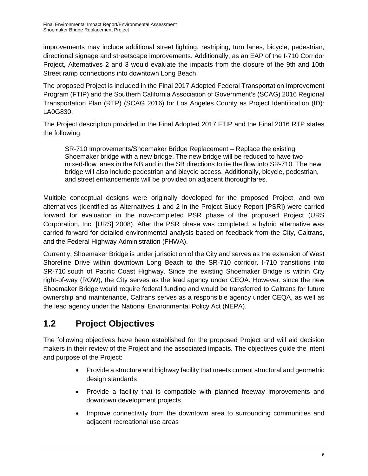improvements may include additional street lighting, restriping, turn lanes, bicycle, pedestrian, directional signage and streetscape improvements. Additionally, as an EAP of the I-710 Corridor Project, Alternatives 2 and 3 would evaluate the impacts from the closure of the 9th and 10th Street ramp connections into downtown Long Beach.

The proposed Project is included in the Final 2017 Adopted Federal Transportation Improvement Program (FTIP) and the Southern California Association of Government's (SCAG) 2016 Regional Transportation Plan (RTP) (SCAG 2016) for Los Angeles County as Project Identification (ID): LA0G830.

The Project description provided in the Final Adopted 2017 FTIP and the Final 2016 RTP states the following:

SR-710 Improvements/Shoemaker Bridge Replacement – Replace the existing Shoemaker bridge with a new bridge. The new bridge will be reduced to have two mixed-flow lanes in the NB and in the SB directions to tie the flow into SR-710. The new bridge will also include pedestrian and bicycle access. Additionally, bicycle, pedestrian, and street enhancements will be provided on adjacent thoroughfares.

Multiple conceptual designs were originally developed for the proposed Project, and two alternatives (identified as Alternatives 1 and 2 in the Project Study Report [PSR]) were carried forward for evaluation in the now-completed PSR phase of the proposed Project (URS Corporation, Inc. [URS] 2008). After the PSR phase was completed, a hybrid alternative was carried forward for detailed environmental analysis based on feedback from the City, Caltrans, and the Federal Highway Administration (FHWA).

Currently, Shoemaker Bridge is under jurisdiction of the City and serves as the extension of West Shoreline Drive within downtown Long Beach to the SR-710 corridor. I-710 transitions into SR-710 south of Pacific Coast Highway. Since the existing Shoemaker Bridge is within City right-of-way (ROW), the City serves as the lead agency under CEQA. However, since the new Shoemaker Bridge would require federal funding and would be transferred to Caltrans for future ownership and maintenance, Caltrans serves as a responsible agency under CEQA, as well as the lead agency under the National Environmental Policy Act (NEPA).

# **1.2 Project Objectives**

The following objectives have been established for the proposed Project and will aid decision makers in their review of the Project and the associated impacts. The objectives guide the intent and purpose of the Project:

- Provide a structure and highway facility that meets current structural and geometric design standards
- Provide a facility that is compatible with planned freeway improvements and downtown development projects
- Improve connectivity from the downtown area to surrounding communities and adjacent recreational use areas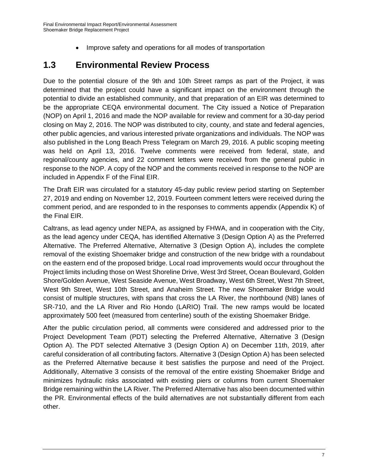• Improve safety and operations for all modes of transportation

# **1.3 Environmental Review Process**

Due to the potential closure of the 9th and 10th Street ramps as part of the Project, it was determined that the project could have a significant impact on the environment through the potential to divide an established community, and that preparation of an EIR was determined to be the appropriate CEQA environmental document. The City issued a Notice of Preparation (NOP) on April 1, 2016 and made the NOP available for review and comment for a 30-day period closing on May 2, 2016. The NOP was distributed to city, county, and state and federal agencies, other public agencies, and various interested private organizations and individuals. The NOP was also published in the Long Beach Press Telegram on March 29, 2016. A public scoping meeting was held on April 13, 2016. Twelve comments were received from federal, state, and regional/county agencies, and 22 comment letters were received from the general public in response to the NOP. A copy of the NOP and the comments received in response to the NOP are included in Appendix F of the Final EIR.

The Draft EIR was circulated for a statutory 45-day public review period starting on September 27, 2019 and ending on November 12, 2019. Fourteen comment letters were received during the comment period, and are responded to in the responses to comments appendix (Appendix K) of the Final EIR.

Caltrans, as lead agency under NEPA, as assigned by FHWA, and in cooperation with the City, as the lead agency under CEQA, has identified Alternative 3 (Design Option A) as the Preferred Alternative. The Preferred Alternative, Alternative 3 (Design Option A), includes the complete removal of the existing Shoemaker bridge and construction of the new bridge with a roundabout on the eastern end of the proposed bridge. Local road improvements would occur throughout the Project limits including those on West Shoreline Drive, West 3rd Street, Ocean Boulevard, Golden Shore/Golden Avenue, West Seaside Avenue, West Broadway, West 6th Street, West 7th Street, West 9th Street, West 10th Street, and Anaheim Street. The new Shoemaker Bridge would consist of multiple structures, with spans that cross the LA River, the northbound (NB) lanes of SR-710, and the LA River and Rio Hondo (LARIO) Trail. The new ramps would be located approximately 500 feet (measured from centerline) south of the existing Shoemaker Bridge.

After the public circulation period, all comments were considered and addressed prior to the Project Development Team (PDT) selecting the Preferred Alternative, Alternative 3 (Design Option A). The PDT selected Alternative 3 (Design Option A) on December 11th, 2019, after careful consideration of all contributing factors. Alternative 3 (Design Option A) has been selected as the Preferred Alternative because it best satisfies the purpose and need of the Project. Additionally, Alternative 3 consists of the removal of the entire existing Shoemaker Bridge and minimizes hydraulic risks associated with existing piers or columns from current Shoemaker Bridge remaining within the LA River. The Preferred Alternative has also been documented within the PR. Environmental effects of the build alternatives are not substantially different from each other.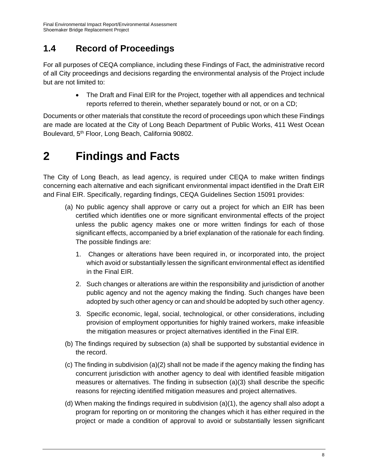# **1.4 Record of Proceedings**

For all purposes of CEQA compliance, including these Findings of Fact, the administrative record of all City proceedings and decisions regarding the environmental analysis of the Project include but are not limited to:

> The Draft and Final EIR for the Project, together with all appendices and technical reports referred to therein, whether separately bound or not, or on a CD;

Documents or other materials that constitute the record of proceedings upon which these Findings are made are located at the City of Long Beach Department of Public Works, 411 West Ocean Boulevard, 5<sup>th</sup> Floor, Long Beach, California 90802.

# **2 Findings and Facts**

The City of Long Beach, as lead agency, is required under CEQA to make written findings concerning each alternative and each significant environmental impact identified in the Draft EIR and Final EIR. Specifically, regarding findings, CEQA Guidelines Section 15091 provides:

- (a) No public agency shall approve or carry out a project for which an EIR has been certified which identifies one or more significant environmental effects of the project unless the public agency makes one or more written findings for each of those significant effects, accompanied by a brief explanation of the rationale for each finding. The possible findings are:
	- 1. Changes or alterations have been required in, or incorporated into, the project which avoid or substantially lessen the significant environmental effect as identified in the Final EIR.
	- 2. Such changes or alterations are within the responsibility and jurisdiction of another public agency and not the agency making the finding. Such changes have been adopted by such other agency or can and should be adopted by such other agency.
	- 3. Specific economic, legal, social, technological, or other considerations, including provision of employment opportunities for highly trained workers, make infeasible the mitigation measures or project alternatives identified in the Final EIR.
- (b) The findings required by subsection (a) shall be supported by substantial evidence in the record.
- (c) The finding in subdivision (a)(2) shall not be made if the agency making the finding has concurrent jurisdiction with another agency to deal with identified feasible mitigation measures or alternatives. The finding in subsection (a)(3) shall describe the specific reasons for rejecting identified mitigation measures and project alternatives.
- (d) When making the findings required in subdivision (a)(1), the agency shall also adopt a program for reporting on or monitoring the changes which it has either required in the project or made a condition of approval to avoid or substantially lessen significant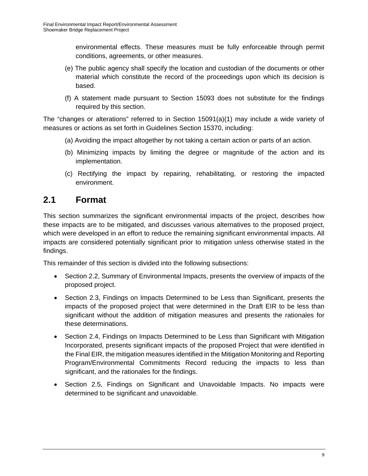environmental effects. These measures must be fully enforceable through permit conditions, agreements, or other measures.

- (e) The public agency shall specify the location and custodian of the documents or other material which constitute the record of the proceedings upon which its decision is based.
- (f) A statement made pursuant to Section 15093 does not substitute for the findings required by this section.

The "changes or alterations" referred to in Section 15091(a)(1) may include a wide variety of measures or actions as set forth in Guidelines Section 15370, including:

- (a) Avoiding the impact altogether by not taking a certain action or parts of an action.
- (b) Minimizing impacts by limiting the degree or magnitude of the action and its implementation.
- (c) Rectifying the impact by repairing, rehabilitating, or restoring the impacted environment.

## **2.1 Format**

This section summarizes the significant environmental impacts of the project, describes how these impacts are to be mitigated, and discusses various alternatives to the proposed project, which were developed in an effort to reduce the remaining significant environmental impacts. All impacts are considered potentially significant prior to mitigation unless otherwise stated in the findings.

This remainder of this section is divided into the following subsections:

- Section 2.2, Summary of Environmental Impacts, presents the overview of impacts of the proposed project.
- Section 2.3, Findings on Impacts Determined to be Less than Significant, presents the impacts of the proposed project that were determined in the Draft EIR to be less than significant without the addition of mitigation measures and presents the rationales for these determinations.
- Section 2.4, Findings on Impacts Determined to be Less than Significant with Mitigation Incorporated, presents significant impacts of the proposed Project that were identified in the Final EIR, the mitigation measures identified in the Mitigation Monitoring and Reporting Program/Environmental Commitments Record reducing the impacts to less than significant, and the rationales for the findings.
- Section 2.5, Findings on Significant and Unavoidable Impacts. No impacts were determined to be significant and unavoidable.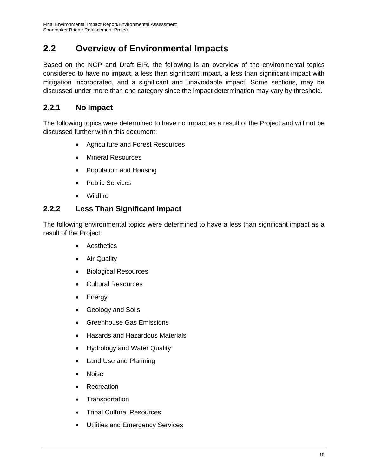# **2.2 Overview of Environmental Impacts**

Based on the NOP and Draft EIR, the following is an overview of the environmental topics considered to have no impact, a less than significant impact, a less than significant impact with mitigation incorporated, and a significant and unavoidable impact. Some sections, may be discussed under more than one category since the impact determination may vary by threshold.

### **2.2.1 No Impact**

The following topics were determined to have no impact as a result of the Project and will not be discussed further within this document:

- Agriculture and Forest Resources
- Mineral Resources
- Population and Housing
- Public Services
- Wildfire

#### **2.2.2 Less Than Significant Impact**

The following environmental topics were determined to have a less than significant impact as a result of the Project:

- Aesthetics
- Air Quality
- Biological Resources
- Cultural Resources
- Energy
- Geology and Soils
- Greenhouse Gas Emissions
- Hazards and Hazardous Materials
- Hydrology and Water Quality
- Land Use and Planning
- Noise
- Recreation
- Transportation
- Tribal Cultural Resources
- Utilities and Emergency Services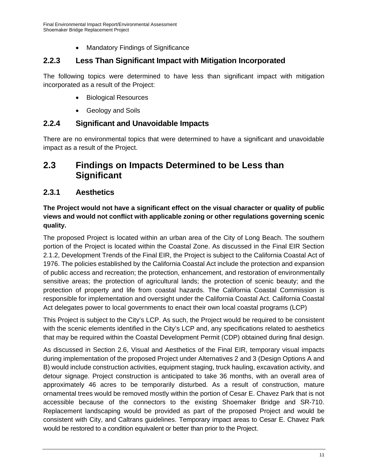Mandatory Findings of Significance

## **2.2.3 Less Than Significant Impact with Mitigation Incorporated**

The following topics were determined to have less than significant impact with mitigation incorporated as a result of the Project:

- Biological Resources
- Geology and Soils

## **2.2.4 Significant and Unavoidable Impacts**

There are no environmental topics that were determined to have a significant and unavoidable impact as a result of the Project.

## **2.3 Findings on Impacts Determined to be Less than Significant**

## **2.3.1 Aesthetics**

**The Project would not have a significant effect on the visual character or quality of public views and would not conflict with applicable zoning or other regulations governing scenic quality.** 

The proposed Project is located within an urban area of the City of Long Beach. The southern portion of the Project is located within the Coastal Zone. As discussed in the Final EIR Section 2.1.2, Development Trends of the Final EIR, the Project is subject to the California Coastal Act of 1976. The policies established by the California Coastal Act include the protection and expansion of public access and recreation; the protection, enhancement, and restoration of environmentally sensitive areas; the protection of agricultural lands; the protection of scenic beauty; and the protection of property and life from coastal hazards. The California Coastal Commission is responsible for implementation and oversight under the California Coastal Act. California Coastal Act delegates power to local governments to enact their own local coastal programs (LCP)

This Project is subject to the City's LCP. As such, the Project would be required to be consistent with the scenic elements identified in the City's LCP and, any specifications related to aesthetics that may be required within the Coastal Development Permit (CDP) obtained during final design.

As discussed in Section 2.6, Visual and Aesthetics of the Final EIR, temporary visual impacts during implementation of the proposed Project under Alternatives 2 and 3 (Design Options A and B) would include construction activities, equipment staging, truck hauling, excavation activity, and detour signage. Project construction is anticipated to take 36 months, with an overall area of approximately 46 acres to be temporarily disturbed. As a result of construction, mature ornamental trees would be removed mostly within the portion of Cesar E. Chavez Park that is not accessible because of the connectors to the existing Shoemaker Bridge and SR-710. Replacement landscaping would be provided as part of the proposed Project and would be consistent with City, and Caltrans guidelines. Temporary impact areas to Cesar E. Chavez Park would be restored to a condition equivalent or better than prior to the Project.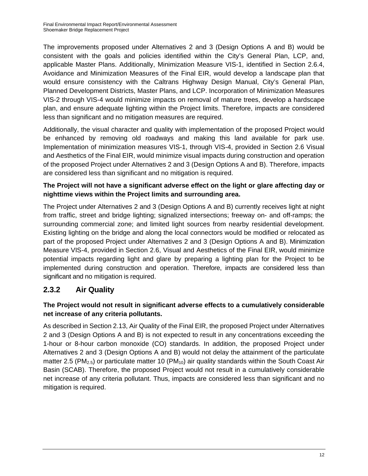The improvements proposed under Alternatives 2 and 3 (Design Options A and B) would be consistent with the goals and policies identified within the City's General Plan, LCP, and, applicable Master Plans. Additionally, Minimization Measure VIS-1, identified in Section 2.6.4, Avoidance and Minimization Measures of the Final EIR, would develop a landscape plan that would ensure consistency with the Caltrans Highway Design Manual, City's General Plan, Planned Development Districts, Master Plans, and LCP. Incorporation of Minimization Measures VIS-2 through VIS-4 would minimize impacts on removal of mature trees, develop a hardscape plan, and ensure adequate lighting within the Project limits. Therefore, impacts are considered less than significant and no mitigation measures are required.

Additionally, the visual character and quality with implementation of the proposed Project would be enhanced by removing old roadways and making this land available for park use. Implementation of minimization measures VIS-1, through VIS-4, provided in Section 2.6 Visual and Aesthetics of the Final EIR, would minimize visual impacts during construction and operation of the proposed Project under Alternatives 2 and 3 (Design Options A and B). Therefore, impacts are considered less than significant and no mitigation is required.

#### **The Project will not have a significant adverse effect on the light or glare affecting day or nighttime views within the Project limits and surrounding area.**

The Project under Alternatives 2 and 3 (Design Options A and B) currently receives light at night from traffic, street and bridge lighting; signalized intersections; freeway on- and off-ramps; the surrounding commercial zone; and limited light sources from nearby residential development. Existing lighting on the bridge and along the local connectors would be modified or relocated as part of the proposed Project under Alternatives 2 and 3 (Design Options A and B). Minimization Measure VIS-4, provided in Section 2.6, Visual and Aesthetics of the Final EIR, would minimize potential impacts regarding light and glare by preparing a lighting plan for the Project to be implemented during construction and operation. Therefore, impacts are considered less than significant and no mitigation is required.

## **2.3.2 Air Quality**

#### **The Project would not result in significant adverse effects to a cumulatively considerable net increase of any criteria pollutants.**

As described in Section 2.13, Air Quality of the Final EIR, the proposed Project under Alternatives 2 and 3 (Design Options A and B) is not expected to result in any concentrations exceeding the 1-hour or 8-hour carbon monoxide (CO) standards. In addition, the proposed Project under Alternatives 2 and 3 (Design Options A and B) would not delay the attainment of the particulate matter 2.5 (PM<sub>2.5</sub>) or particulate matter 10 (PM<sub>10</sub>) air quality standards within the South Coast Air Basin (SCAB). Therefore, the proposed Project would not result in a cumulatively considerable net increase of any criteria pollutant. Thus, impacts are considered less than significant and no mitigation is required.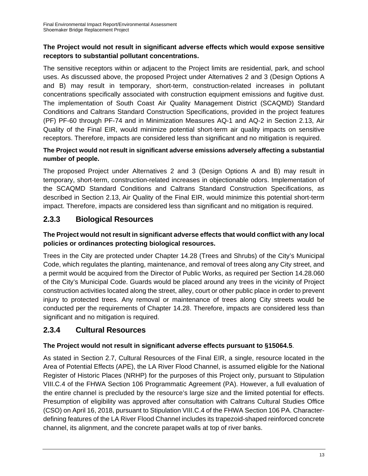#### **The Project would not result in significant adverse effects which would expose sensitive receptors to substantial pollutant concentrations.**

The sensitive receptors within or adjacent to the Project limits are residential, park, and school uses. As discussed above, the proposed Project under Alternatives 2 and 3 (Design Options A and B) may result in temporary, short-term, construction-related increases in pollutant concentrations specifically associated with construction equipment emissions and fugitive dust. The implementation of South Coast Air Quality Management District (SCAQMD) Standard Conditions and Caltrans Standard Construction Specifications, provided in the project features (PF) PF-60 through PF-74 and in Minimization Measures AQ-1 and AQ-2 in Section 2.13, Air Quality of the Final EIR, would minimize potential short-term air quality impacts on sensitive receptors. Therefore, impacts are considered less than significant and no mitigation is required.

#### **The Project would not result in significant adverse emissions adversely affecting a substantial number of people.**

The proposed Project under Alternatives 2 and 3 (Design Options A and B) may result in temporary, short-term, construction-related increases in objectionable odors. Implementation of the SCAQMD Standard Conditions and Caltrans Standard Construction Specifications, as described in Section 2.13, Air Quality of the Final EIR, would minimize this potential short-term impact. Therefore, impacts are considered less than significant and no mitigation is required.

## **2.3.3 Biological Resources**

#### **The Project would not result in significant adverse effects that would conflict with any local policies or ordinances protecting biological resources.**

Trees in the City are protected under Chapter 14.28 (Trees and Shrubs) of the City's Municipal Code, which regulates the planting, maintenance, and removal of trees along any City street, and a permit would be acquired from the Director of Public Works, as required per Section 14.28.060 of the City's Municipal Code. Guards would be placed around any trees in the vicinity of Project construction activities located along the street, alley, court or other public place in order to prevent injury to protected trees. Any removal or maintenance of trees along City streets would be conducted per the requirements of Chapter 14.28. Therefore, impacts are considered less than significant and no mitigation is required.

## **2.3.4 Cultural Resources**

#### **The Project would not result in significant adverse effects pursuant to §15064.5**.

As stated in Section 2.7, Cultural Resources of the Final EIR, a single, resource located in the Area of Potential Effects (APE), the LA River Flood Channel, is assumed eligible for the National Register of Historic Places (NRHP) for the purposes of this Project only, pursuant to Stipulation VIII.C.4 of the FHWA Section 106 Programmatic Agreement (PA). However, a full evaluation of the entire channel is precluded by the resource's large size and the limited potential for effects. Presumption of eligibility was approved after consultation with Caltrans Cultural Studies Office (CSO) on April 16, 2018, pursuant to Stipulation VIII.C.4 of the FHWA Section 106 PA. Characterdefining features of the LA River Flood Channel includes its trapezoid-shaped reinforced concrete channel, its alignment, and the concrete parapet walls at top of river banks.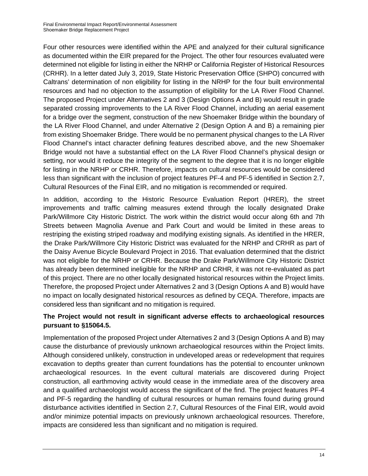Four other resources were identified within the APE and analyzed for their cultural significance as documented within the EIR prepared for the Project. The other four resources evaluated were determined not eligible for listing in either the NRHP or California Register of Historical Resources (CRHR). In a letter dated July 3, 2019, State Historic Preservation Office (SHPO) concurred with Caltrans' determination of non eligibility for listing in the NRHP for the four built environmental resources and had no objection to the assumption of eligibility for the LA River Flood Channel. The proposed Project under Alternatives 2 and 3 (Design Options A and B) would result in grade separated crossing improvements to the LA River Flood Channel, including an aerial easement for a bridge over the segment, construction of the new Shoemaker Bridge within the boundary of the LA River Flood Channel, and under Alternative 2 (Design Option A and B) a remaining pier from existing Shoemaker Bridge. There would be no permanent physical changes to the LA River Flood Channel's intact character defining features described above, and the new Shoemaker Bridge would not have a substantial effect on the LA River Flood Channel's physical design or setting, nor would it reduce the integrity of the segment to the degree that it is no longer eligible for listing in the NRHP or CRHR. Therefore, impacts on cultural resources would be considered less than significant with the inclusion of project features PF-4 and PF-5 identified in Section 2.7, Cultural Resources of the Final EIR, and no mitigation is recommended or required.

In addition, according to the Historic Resource Evaluation Report (HRER), the street improvements and traffic calming measures extend through the locally designated Drake Park/Willmore City Historic District. The work within the district would occur along 6th and 7th Streets between Magnolia Avenue and Park Court and would be limited in these areas to restriping the existing striped roadway and modifying existing signals. As identified in the HRER, the Drake Park/Willmore City Historic District was evaluated for the NRHP and CRHR as part of the Daisy Avenue Bicycle Boulevard Project in 2016. That evaluation determined that the district was not eligible for the NRHP or CRHR. Because the Drake Park/Willmore City Historic District has already been determined ineligible for the NRHP and CRHR, it was not re-evaluated as part of this project. There are no other locally designated historical resources within the Project limits. Therefore, the proposed Project under Alternatives 2 and 3 (Design Options A and B) would have no impact on locally designated historical resources as defined by CEQA. Therefore, impacts are considered less than significant and no mitigation is required.

#### **The Project would not result in significant adverse effects to archaeological resources pursuant to §15064.5.**

Implementation of the proposed Project under Alternatives 2 and 3 (Design Options A and B) may cause the disturbance of previously unknown archaeological resources within the Project limits. Although considered unlikely, construction in undeveloped areas or redevelopment that requires excavation to depths greater than current foundations has the potential to encounter unknown archaeological resources. In the event cultural materials are discovered during Project construction, all earthmoving activity would cease in the immediate area of the discovery area and a qualified archaeologist would access the significant of the find. The project features PF-4 and PF-5 regarding the handling of cultural resources or human remains found during ground disturbance activities identified in Section 2.7, Cultural Resources of the Final EIR, would avoid and/or minimize potential impacts on previously unknown archaeological resources. Therefore, impacts are considered less than significant and no mitigation is required.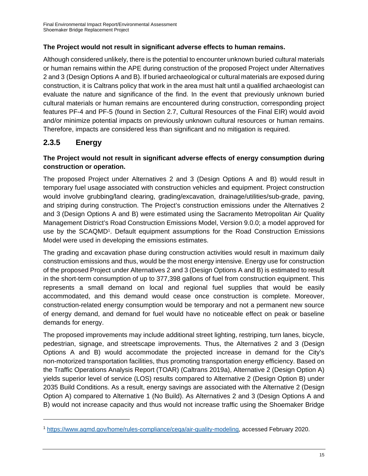#### **The Project would not result in significant adverse effects to human remains.**

Although considered unlikely, there is the potential to encounter unknown buried cultural materials or human remains within the APE during construction of the proposed Project under Alternatives 2 and 3 (Design Options A and B). If buried archaeological or cultural materials are exposed during construction, it is Caltrans policy that work in the area must halt until a qualified archaeologist can evaluate the nature and significance of the find. In the event that previously unknown buried cultural materials or human remains are encountered during construction, corresponding project features PF-4 and PF-5 (found in Section 2.7, Cultural Resources of the Final EIR) would avoid and/or minimize potential impacts on previously unknown cultural resources or human remains. Therefore, impacts are considered less than significant and no mitigation is required.

## **2.3.5 Energy**

 $\overline{a}$ 

#### **The Project would not result in significant adverse effects of energy consumption during construction or operation.**

The proposed Project under Alternatives 2 and 3 (Design Options A and B) would result in temporary fuel usage associated with construction vehicles and equipment. Project construction would involve grubbing/land clearing, grading/excavation, drainage/utilities/sub-grade, paving, and striping during construction. The Project's construction emissions under the Alternatives 2 and 3 (Design Options A and B) were estimated using the Sacramento Metropolitan Air Quality Management District's Road Construction Emissions Model, Version 9.0.0; a model approved for use by the SCAQMD1. Default equipment assumptions for the Road Construction Emissions Model were used in developing the emissions estimates.

The grading and excavation phase during construction activities would result in maximum daily construction emissions and thus, would be the most energy intensive. Energy use for construction of the proposed Project under Alternatives 2 and 3 (Design Options A and B) is estimated to result in the short-term consumption of up to 377,398 gallons of fuel from construction equipment. This represents a small demand on local and regional fuel supplies that would be easily accommodated, and this demand would cease once construction is complete. Moreover, construction-related energy consumption would be temporary and not a permanent new source of energy demand, and demand for fuel would have no noticeable effect on peak or baseline demands for energy.

The proposed improvements may include additional street lighting, restriping, turn lanes, bicycle, pedestrian, signage, and streetscape improvements. Thus, the Alternatives 2 and 3 (Design Options A and B) would accommodate the projected increase in demand for the City's non-motorized transportation facilities, thus promoting transportation energy efficiency. Based on the Traffic Operations Analysis Report (TOAR) (Caltrans 2019a), Alternative 2 (Design Option A) yields superior level of service (LOS) results compared to Alternative 2 (Design Option B) under 2035 Build Conditions. As a result, energy savings are associated with the Alternative 2 (Design Option A) compared to Alternative 1 (No Build). As Alternatives 2 and 3 (Design Options A and B) would not increase capacity and thus would not increase traffic using the Shoemaker Bridge

<sup>1</sup> https://www.aqmd.gov/home/rules-compliance/ceqa/air-quality-modeling, accessed February 2020.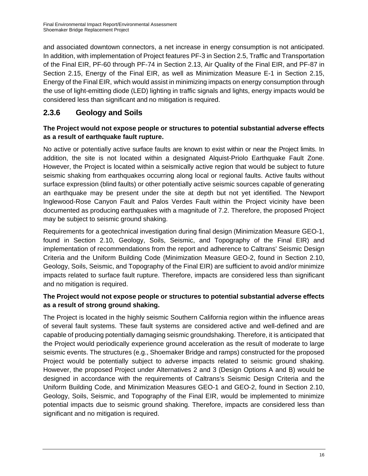and associated downtown connectors, a net increase in energy consumption is not anticipated. In addition, with implementation of Project features PF-3 in Section 2.5, Traffic and Transportation of the Final EIR, PF-60 through PF-74 in Section 2.13, Air Quality of the Final EIR, and PF-87 in Section 2.15, Energy of the Final EIR, as well as Minimization Measure E-1 in Section 2.15, Energy of the Final EIR, which would assist in minimizing impacts on energy consumption through the use of light-emitting diode (LED) lighting in traffic signals and lights, energy impacts would be considered less than significant and no mitigation is required.

## **2.3.6 Geology and Soils**

#### **The Project would not expose people or structures to potential substantial adverse effects as a result of earthquake fault rupture.**

No active or potentially active surface faults are known to exist within or near the Project limits. In addition, the site is not located within a designated Alquist-Priolo Earthquake Fault Zone. However, the Project is located within a seismically active region that would be subject to future seismic shaking from earthquakes occurring along local or regional faults. Active faults without surface expression (blind faults) or other potentially active seismic sources capable of generating an earthquake may be present under the site at depth but not yet identified. The Newport Inglewood-Rose Canyon Fault and Palos Verdes Fault within the Project vicinity have been documented as producing earthquakes with a magnitude of 7.2. Therefore, the proposed Project may be subject to seismic ground shaking.

Requirements for a geotechnical investigation during final design (Minimization Measure GEO-1, found in Section 2.10, Geology, Soils, Seismic, and Topography of the Final EIR) and implementation of recommendations from the report and adherence to Caltrans' Seismic Design Criteria and the Uniform Building Code (Minimization Measure GEO-2, found in Section 2.10, Geology, Soils, Seismic, and Topography of the Final EIR) are sufficient to avoid and/or minimize impacts related to surface fault rupture. Therefore, impacts are considered less than significant and no mitigation is required.

#### **The Project would not expose people or structures to potential substantial adverse effects as a result of strong ground shaking.**

The Project is located in the highly seismic Southern California region within the influence areas of several fault systems. These fault systems are considered active and well-defined and are capable of producing potentially damaging seismic groundshaking. Therefore, it is anticipated that the Project would periodically experience ground acceleration as the result of moderate to large seismic events. The structures (e.g., Shoemaker Bridge and ramps) constructed for the proposed Project would be potentially subject to adverse impacts related to seismic ground shaking. However, the proposed Project under Alternatives 2 and 3 (Design Options A and B) would be designed in accordance with the requirements of Caltrans's Seismic Design Criteria and the Uniform Building Code, and Minimization Measures GEO-1 and GEO-2, found in Section 2.10, Geology, Soils, Seismic, and Topography of the Final EIR, would be implemented to minimize potential impacts due to seismic ground shaking. Therefore, impacts are considered less than significant and no mitigation is required.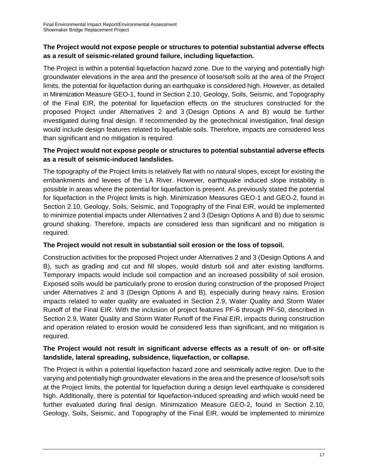#### **The Project would not expose people or structures to potential substantial adverse effects as a result of seismic-related ground failure, including liquefaction.**

The Project is within a potential liquefaction hazard zone. Due to the varying and potentially high groundwater elevations in the area and the presence of loose/soft soils at the area of the Project limits, the potential for liquefaction during an earthquake is considered high. However, as detailed in Minimization Measure GEO-1, found in Section 2.10, Geology, Soils, Seismic, and Topography of the Final EIR, the potential for liquefaction effects on the structures constructed for the proposed Project under Alternatives 2 and 3 (Design Options A and B) would be further investigated during final design. If recommended by the geotechnical investigation, final design would include design features related to liquefiable soils. Therefore, impacts are considered less than significant and no mitigation is required.

#### **The Project would not expose people or structures to potential substantial adverse effects as a result of seismic-induced landslides.**

The topography of the Project limits is relatively flat with no natural slopes, except for existing the embankments and levees of the LA River. However, earthquake induced slope instability is possible in areas where the potential for liquefaction is present. As previously stated the potential for liquefaction in the Project limits is high. Minimization Measures GEO-1 and GEO-2, found in Section 2.10, Geology, Soils, Seismic, and Topography of the Final EIR, would be implemented to minimize potential impacts under Alternatives 2 and 3 (Design Options A and B) due to seismic ground shaking. Therefore, impacts are considered less than significant and no mitigation is required.

#### **The Project would not result in substantial soil erosion or the loss of topsoil.**

Construction activities for the proposed Project under Alternatives 2 and 3 (Design Options A and B), such as grading and cut and fill slopes, would disturb soil and alter existing landforms. Temporary impacts would include soil compaction and an increased possibility of soil erosion. Exposed soils would be particularly prone to erosion during construction of the proposed Project under Alternatives 2 and 3 (Design Options A and B), especially during heavy rains. Erosion impacts related to water quality are evaluated in Section 2.9, Water Quality and Storm Water Runoff of the Final EIR. With the inclusion of project features PF-6 through PF-50, described in Section 2.9, Water Quality and Storm Water Runoff of the Final EIR, impacts during construction and operation related to erosion would be considered less than significant, and no mitigation is required.

#### **The Project would not result in significant adverse effects as a result of on- or off-site landslide, lateral spreading, subsidence, liquefaction, or collapse.**

The Project is within a potential liquefaction hazard zone and seismically active region. Due to the varying and potentially high groundwater elevations in the area and the presence of loose/soft soils at the Project limits, the potential for liquefaction during a design level earthquake is considered high. Additionally, there is potential for liquefaction-induced spreading and which would need be further evaluated during final design. Minimization Measure GEO-2, found in Section 2.10, Geology, Soils, Seismic, and Topography of the Final EIR, would be implemented to minimize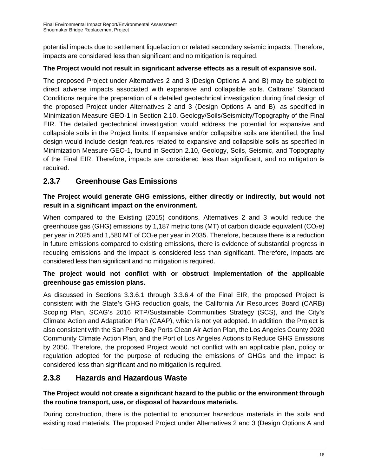potential impacts due to settlement liquefaction or related secondary seismic impacts. Therefore, impacts are considered less than significant and no mitigation is required.

#### **The Project would not result in significant adverse effects as a result of expansive soil.**

The proposed Project under Alternatives 2 and 3 (Design Options A and B) may be subject to direct adverse impacts associated with expansive and collapsible soils. Caltrans' Standard Conditions require the preparation of a detailed geotechnical investigation during final design of the proposed Project under Alternatives 2 and 3 (Design Options A and B), as specified in Minimization Measure GEO-1 in Section 2.10, Geology/Soils/Seismicity/Topography of the Final EIR. The detailed geotechnical investigation would address the potential for expansive and collapsible soils in the Project limits. If expansive and/or collapsible soils are identified, the final design would include design features related to expansive and collapsible soils as specified in Minimization Measure GEO-1, found in Section 2.10, Geology, Soils, Seismic, and Topography of the Final EIR. Therefore, impacts are considered less than significant, and no mitigation is required.

## **2.3.7 Greenhouse Gas Emissions**

#### **The Project would generate GHG emissions, either directly or indirectly, but would not result in a significant impact on the environment.**

When compared to the Existing (2015) conditions, Alternatives 2 and 3 would reduce the greenhouse gas (GHG) emissions by 1,187 metric tons (MT) of carbon dioxide equivalent ( $CO<sub>2</sub>e$ ) per year in 2025 and 1,580 MT of  $CO<sub>2</sub>e$  per year in 2035. Therefore, because there is a reduction in future emissions compared to existing emissions, there is evidence of substantial progress in reducing emissions and the impact is considered less than significant. Therefore, impacts are considered less than significant and no mitigation is required.

#### **The project would not conflict with or obstruct implementation of the applicable greenhouse gas emission plans.**

As discussed in Sections 3.3.6.1 through 3.3.6.4 of the Final EIR, the proposed Project is consistent with the State's GHG reduction goals, the California Air Resources Board (CARB) Scoping Plan, SCAG's 2016 RTP/Sustainable Communities Strategy (SCS), and the City's Climate Action and Adaptation Plan (CAAP), which is not yet adopted. In addition, the Project is also consistent with the San Pedro Bay Ports Clean Air Action Plan, the Los Angeles County 2020 Community Climate Action Plan, and the Port of Los Angeles Actions to Reduce GHG Emissions by 2050. Therefore, the proposed Project would not conflict with an applicable plan, policy or regulation adopted for the purpose of reducing the emissions of GHGs and the impact is considered less than significant and no mitigation is required.

## **2.3.8 Hazards and Hazardous Waste**

#### **The Project would not create a significant hazard to the public or the environment through the routine transport, use, or disposal of hazardous materials.**

During construction, there is the potential to encounter hazardous materials in the soils and existing road materials. The proposed Project under Alternatives 2 and 3 (Design Options A and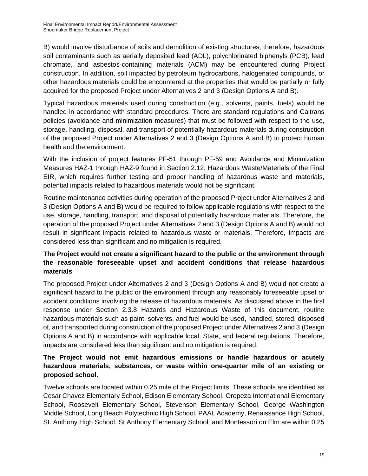B) would involve disturbance of soils and demolition of existing structures; therefore, hazardous soil contaminants such as aerially deposited lead (ADL), polychlorinated biphenyls (PCB), lead chromate, and asbestos-containing materials (ACM) may be encountered during Project construction. In addition, soil impacted by petroleum hydrocarbons, halogenated compounds, or other hazardous materials could be encountered at the properties that would be partially or fully acquired for the proposed Project under Alternatives 2 and 3 (Design Options A and B).

Typical hazardous materials used during construction (e.g., solvents, paints, fuels) would be handled in accordance with standard procedures. There are standard regulations and Caltrans policies (avoidance and minimization measures) that must be followed with respect to the use, storage, handling, disposal, and transport of potentially hazardous materials during construction of the proposed Project under Alternatives 2 and 3 (Design Options A and B) to protect human health and the environment.

With the inclusion of project features PF-51 through PF-59 and Avoidance and Minimization Measures HAZ-1 through HAZ-9 found in Section 2.12, Hazardous Waste/Materials of the Final EIR, which requires further testing and proper handling of hazardous waste and materials, potential impacts related to hazardous materials would not be significant.

Routine maintenance activities during operation of the proposed Project under Alternatives 2 and 3 (Design Options A and B) would be required to follow applicable regulations with respect to the use, storage, handling, transport, and disposal of potentially hazardous materials. Therefore, the operation of the proposed Project under Alternatives 2 and 3 (Design Options A and B) would not result in significant impacts related to hazardous waste or materials. Therefore, impacts are considered less than significant and no mitigation is required.

#### **The Project would not create a significant hazard to the public or the environment through the reasonable foreseeable upset and accident conditions that release hazardous materials**

The proposed Project under Alternatives 2 and 3 (Design Options A and B) would not create a significant hazard to the public or the environment through any reasonably foreseeable upset or accident conditions involving the release of hazardous materials. As discussed above in the first response under Section 2.3.8 Hazards and Hazardous Waste of this document, routine hazardous materials such as paint, solvents, and fuel would be used, handled, stored, disposed of, and transported during construction of the proposed Project under Alternatives 2 and 3 (Design Options A and B) in accordance with applicable local, State, and federal regulations. Therefore, impacts are considered less than significant and no mitigation is required.

#### **The Project would not emit hazardous emissions or handle hazardous or acutely hazardous materials, substances, or waste within one-quarter mile of an existing or proposed school.**

Twelve schools are located within 0.25 mile of the Project limits. These schools are identified as Cesar Chavez Elementary School, Edison Elementary School, Oropeza International Elementary School, Roosevelt Elementary School, Stevenson Elementary School, George Washington Middle School, Long Beach Polytechnic High School, PAAL Academy, Renaissance High School, St. Anthony High School, St Anthony Elementary School, and Montessori on Elm are within 0.25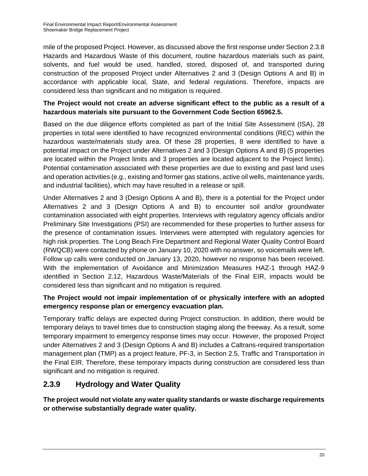mile of the proposed Project. However, as discussed above the first response under Section 2.3.8 Hazards and Hazardous Waste of this document, routine hazardous materials such as paint, solvents, and fuel would be used, handled, stored, disposed of, and transported during construction of the proposed Project under Alternatives 2 and 3 (Design Options A and B) in accordance with applicable local, State, and federal regulations. Therefore, impacts are considered less than significant and no mitigation is required.

#### **The Project would not create an adverse significant effect to the public as a result of a hazardous materials site pursuant to the Government Code Section 65962.5.**

Based on the due diligence efforts completed as part of the Initial Site Assessment (ISA), 28 properties in total were identified to have recognized environmental conditions (REC) within the hazardous waste/materials study area. Of these 28 properties, 8 were identified to have a potential impact on the Project under Alternatives 2 and 3 (Design Options A and B) (5 properties are located within the Project limits and 3 properties are located adjacent to the Project limits). Potential contamination associated with these properties are due to existing and past land uses and operation activities (e.g., existing and former gas stations, active oil wells, maintenance yards, and industrial facilities), which may have resulted in a release or spill.

Under Alternatives 2 and 3 (Design Options A and B), there is a potential for the Project under Alternatives 2 and 3 (Design Options A and B) to encounter soil and/or groundwater contamination associated with eight properties. Interviews with regulatory agency officials and/or Preliminary Site Investigations (PSI) are recommended for these properties to further assess for the presence of contamination issues. Interviews were attempted with regulatory agencies for high risk properties. The Long Beach Fire Department and Regional Water Quality Control Board (RWQCB) were contacted by phone on January 10, 2020 with no answer, so voicemails were left. Follow up calls were conducted on January 13, 2020, however no response has been received. With the implementation of Avoidance and Minimization Measures HAZ-1 through HAZ-9 identified in Section 2.12, Hazardous Waste/Materials of the Final EIR, impacts would be considered less than significant and no mitigation is required.

#### **The Project would not impair implementation of or physically interfere with an adopted emergency response plan or emergency evacuation plan.**

Temporary traffic delays are expected during Project construction. In addition, there would be temporary delays to travel times due to construction staging along the freeway. As a result, some temporary impairment to emergency response times may occur. However, the proposed Project under Alternatives 2 and 3 (Design Options A and B) includes a Caltrans-required transportation management plan (TMP) as a project feature, PF-3, in Section 2.5, Traffic and Transportation in the Final EIR. Therefore, these temporary impacts during construction are considered less than significant and no mitigation is required.

## **2.3.9 Hydrology and Water Quality**

**The project would not violate any water quality standards or waste discharge requirements or otherwise substantially degrade water quality.**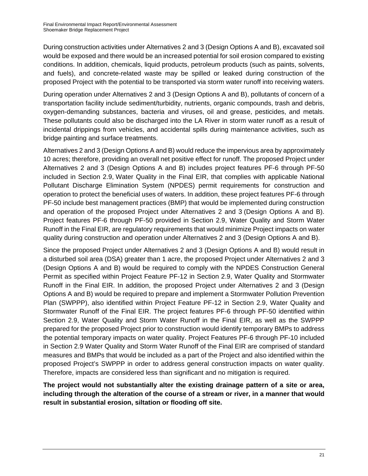During construction activities under Alternatives 2 and 3 (Design Options A and B), excavated soil would be exposed and there would be an increased potential for soil erosion compared to existing conditions. In addition, chemicals, liquid products, petroleum products (such as paints, solvents, and fuels), and concrete-related waste may be spilled or leaked during construction of the proposed Project with the potential to be transported via storm water runoff into receiving waters.

During operation under Alternatives 2 and 3 (Design Options A and B), pollutants of concern of a transportation facility include sediment/turbidity, nutrients, organic compounds, trash and debris, oxygen-demanding substances, bacteria and viruses, oil and grease, pesticides, and metals. These pollutants could also be discharged into the LA River in storm water runoff as a result of incidental drippings from vehicles, and accidental spills during maintenance activities, such as bridge painting and surface treatments.

Alternatives 2 and 3 (Design Options A and B) would reduce the impervious area by approximately 10 acres; therefore, providing an overall net positive effect for runoff. The proposed Project under Alternatives 2 and 3 (Design Options A and B) includes project features PF-6 through PF-50 included in Section 2.9, Water Quality in the Final EIR, that complies with applicable National Pollutant Discharge Elimination System (NPDES) permit requirements for construction and operation to protect the beneficial uses of waters. In addition, these project features PF-6 through PF-50 include best management practices (BMP) that would be implemented during construction and operation of the proposed Project under Alternatives 2 and 3 (Design Options A and B). Project features PF-6 through PF-50 provided in Section 2.9, Water Quality and Storm Water Runoff in the Final EIR, are regulatory requirements that would minimize Project impacts on water quality during construction and operation under Alternatives 2 and 3 (Design Options A and B).

Since the proposed Project under Alternatives 2 and 3 (Design Options A and B) would result in a disturbed soil area (DSA) greater than 1 acre, the proposed Project under Alternatives 2 and 3 (Design Options A and B) would be required to comply with the NPDES Construction General Permit as specified within Project Feature PF-12 in Section 2.9, Water Quality and Stormwater Runoff in the Final EIR. In addition, the proposed Project under Alternatives 2 and 3 (Design Options A and B) would be required to prepare and implement a Stormwater Pollution Prevention Plan (SWPPP), also identified within Project Feature PF-12 in Section 2.9, Water Quality and Stormwater Runoff of the Final EIR. The project features PF-6 through PF-50 identified within Section 2.9, Water Quality and Storm Water Runoff in the Final EIR, as well as the SWPPP prepared for the proposed Project prior to construction would identify temporary BMPs to address the potential temporary impacts on water quality. Project Features PF-6 through PF-10 included in Section 2.9 Water Quality and Storm Water Runoff of the Final EIR are comprised of standard measures and BMPs that would be included as a part of the Project and also identified within the proposed Project's SWPPP in order to address general construction impacts on water quality. Therefore, impacts are considered less than significant and no mitigation is required.

**The project would not substantially alter the existing drainage pattern of a site or area, including through the alteration of the course of a stream or river, in a manner that would result in substantial erosion, siltation or flooding off site.**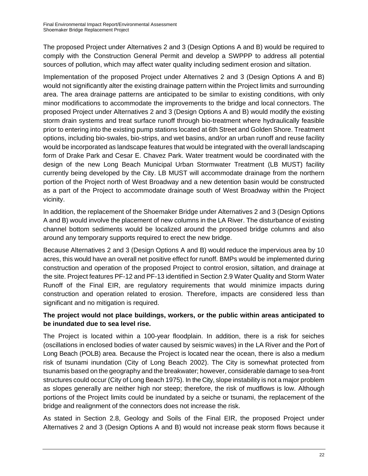The proposed Project under Alternatives 2 and 3 (Design Options A and B) would be required to comply with the Construction General Permit and develop a SWPPP to address all potential sources of pollution, which may affect water quality including sediment erosion and siltation.

Implementation of the proposed Project under Alternatives 2 and 3 (Design Options A and B) would not significantly alter the existing drainage pattern within the Project limits and surrounding area. The area drainage patterns are anticipated to be similar to existing conditions, with only minor modifications to accommodate the improvements to the bridge and local connectors. The proposed Project under Alternatives 2 and 3 (Design Options A and B) would modify the existing storm drain systems and treat surface runoff through bio-treatment where hydraulically feasible prior to entering into the existing pump stations located at 6th Street and Golden Shore. Treatment options, including bio-swales, bio-strips, and wet basins, and/or an urban runoff and reuse facility would be incorporated as landscape features that would be integrated with the overall landscaping form of Drake Park and Cesar E. Chavez Park. Water treatment would be coordinated with the design of the new Long Beach Municipal Urban Stormwater Treatment (LB MUST) facility currently being developed by the City. LB MUST will accommodate drainage from the northern portion of the Project north of West Broadway and a new detention basin would be constructed as a part of the Project to accommodate drainage south of West Broadway within the Project vicinity.

In addition, the replacement of the Shoemaker Bridge under Alternatives 2 and 3 (Design Options A and B) would involve the placement of new columns in the LA River. The disturbance of existing channel bottom sediments would be localized around the proposed bridge columns and also around any temporary supports required to erect the new bridge.

Because Alternatives 2 and 3 (Design Options A and B) would reduce the impervious area by 10 acres, this would have an overall net positive effect for runoff. BMPs would be implemented during construction and operation of the proposed Project to control erosion, siltation, and drainage at the site. Project features PF-12 and PF-13 identified in Section 2.9 Water Quality and Storm Water Runoff of the Final EIR, are regulatory requirements that would minimize impacts during construction and operation related to erosion. Therefore, impacts are considered less than significant and no mitigation is required.

#### **The project would not place buildings, workers, or the public within areas anticipated to be inundated due to sea level rise.**

The Project is located within a 100-year floodplain. In addition, there is a risk for seiches (oscillations in enclosed bodies of water caused by seismic waves) in the LA River and the Port of Long Beach (POLB) area. Because the Project is located near the ocean, there is also a medium risk of tsunami inundation (City of Long Beach 2002). The City is somewhat protected from tsunamis based on the geography and the breakwater; however, considerable damage to sea-front structures could occur (City of Long Beach 1975). In the City, slope instability is not a major problem as slopes generally are neither high nor steep; therefore, the risk of mudflows is low. Although portions of the Project limits could be inundated by a seiche or tsunami, the replacement of the bridge and realignment of the connectors does not increase the risk.

As stated in Section 2.8, Geology and Soils of the Final EIR, the proposed Project under Alternatives 2 and 3 (Design Options A and B) would not increase peak storm flows because it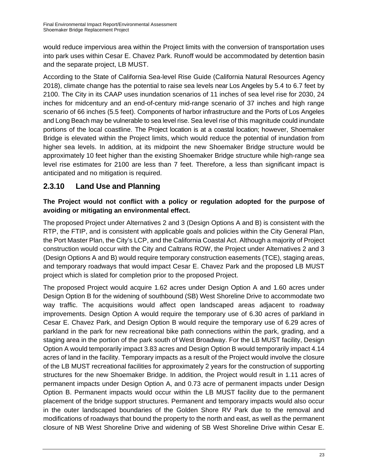would reduce impervious area within the Project limits with the conversion of transportation uses into park uses within Cesar E. Chavez Park. Runoff would be accommodated by detention basin and the separate project, LB MUST.

According to the State of California Sea-level Rise Guide (California Natural Resources Agency 2018), climate change has the potential to raise sea levels near Los Angeles by 5.4 to 6.7 feet by 2100. The City in its CAAP uses inundation scenarios of 11 inches of sea level rise for 2030, 24 inches for midcentury and an end-of-century mid-range scenario of 37 inches and high range scenario of 66 inches (5.5 feet). Components of harbor infrastructure and the Ports of Los Angeles and Long Beach may be vulnerable to sea level rise. Sea level rise of this magnitude could inundate portions of the local coastline. The Project location is at a coastal location; however, Shoemaker Bridge is elevated within the Project limits, which would reduce the potential of inundation from higher sea levels. In addition, at its midpoint the new Shoemaker Bridge structure would be approximately 10 feet higher than the existing Shoemaker Bridge structure while high-range sea level rise estimates for 2100 are less than 7 feet. Therefore, a less than significant impact is anticipated and no mitigation is required.

## **2.3.10 Land Use and Planning**

#### **The Project would not conflict with a policy or regulation adopted for the purpose of avoiding or mitigating an environmental effect.**

The proposed Project under Alternatives 2 and 3 (Design Options A and B) is consistent with the RTP, the FTIP, and is consistent with applicable goals and policies within the City General Plan, the Port Master Plan, the City's LCP, and the California Coastal Act. Although a majority of Project construction would occur with the City and Caltrans ROW, the Project under Alternatives 2 and 3 (Design Options A and B) would require temporary construction easements (TCE), staging areas, and temporary roadways that would impact Cesar E. Chavez Park and the proposed LB MUST project which is slated for completion prior to the proposed Project.

The proposed Project would acquire 1.62 acres under Design Option A and 1.60 acres under Design Option B for the widening of southbound (SB) West Shoreline Drive to accommodate two way traffic. The acquisitions would affect open landscaped areas adjacent to roadway improvements. Design Option A would require the temporary use of 6.30 acres of parkland in Cesar E. Chavez Park, and Design Option B would require the temporary use of 6.29 acres of parkland in the park for new recreational bike path connections within the park, grading, and a staging area in the portion of the park south of West Broadway. For the LB MUST facility, Design Option A would temporarily impact 3.83 acres and Design Option B would temporarily impact 4.14 acres of land in the facility. Temporary impacts as a result of the Project would involve the closure of the LB MUST recreational facilities for approximately 2 years for the construction of supporting structures for the new Shoemaker Bridge. In addition, the Project would result in 1.11 acres of permanent impacts under Design Option A, and 0.73 acre of permanent impacts under Design Option B. Permanent impacts would occur within the LB MUST facility due to the permanent placement of the bridge support structures. Permanent and temporary impacts would also occur in the outer landscaped boundaries of the Golden Shore RV Park due to the removal and modifications of roadways that bound the property to the north and east, as well as the permanent closure of NB West Shoreline Drive and widening of SB West Shoreline Drive within Cesar E.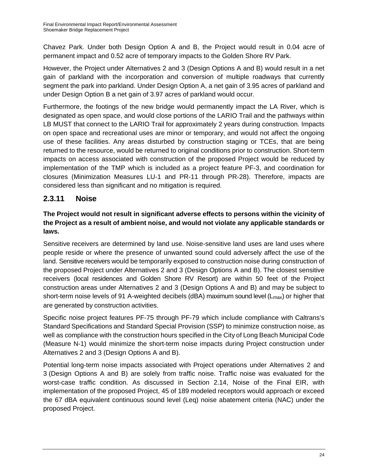Chavez Park. Under both Design Option A and B, the Project would result in 0.04 acre of permanent impact and 0.52 acre of temporary impacts to the Golden Shore RV Park.

However, the Project under Alternatives 2 and 3 (Design Options A and B) would result in a net gain of parkland with the incorporation and conversion of multiple roadways that currently segment the park into parkland. Under Design Option A, a net gain of 3.95 acres of parkland and under Design Option B a net gain of 3.97 acres of parkland would occur.

Furthermore, the footings of the new bridge would permanently impact the LA River, which is designated as open space, and would close portions of the LARIO Trail and the pathways within LB MUST that connect to the LARIO Trail for approximately 2 years during construction. Impacts on open space and recreational uses are minor or temporary, and would not affect the ongoing use of these facilities. Any areas disturbed by construction staging or TCEs, that are being returned to the resource, would be returned to original conditions prior to construction. Short-term impacts on access associated with construction of the proposed Project would be reduced by implementation of the TMP which is included as a project feature PF-3, and coordination for closures (Minimization Measures LU-1 and PR-11 through PR-28). Therefore, impacts are considered less than significant and no mitigation is required.

## **2.3.11 Noise**

#### **The Project would not result in significant adverse effects to persons within the vicinity of the Project as a result of ambient noise, and would not violate any applicable standards or laws.**

Sensitive receivers are determined by land use. Noise-sensitive land uses are land uses where people reside or where the presence of unwanted sound could adversely affect the use of the land. Sensitive receivers would be temporarily exposed to construction noise during construction of the proposed Project under Alternatives 2 and 3 (Design Options A and B). The closest sensitive receivers (local residences and Golden Shore RV Resort) are within 50 feet of the Project construction areas under Alternatives 2 and 3 (Design Options A and B) and may be subject to short-term noise levels of 91 A-weighted decibels (dBA) maximum sound level ( $L_{\text{max}}$ ) or higher that are generated by construction activities.

Specific noise project features PF-75 through PF-79 which include compliance with Caltrans's Standard Specifications and Standard Special Provision (SSP) to minimize construction noise, as well as compliance with the construction hours specified in the City of Long Beach Municipal Code (Measure N-1) would minimize the short-term noise impacts during Project construction under Alternatives 2 and 3 (Design Options A and B).

Potential long-term noise impacts associated with Project operations under Alternatives 2 and 3 (Design Options A and B) are solely from traffic noise. Traffic noise was evaluated for the worst-case traffic condition. As discussed in Section 2.14, Noise of the Final EIR, with implementation of the proposed Project, 45 of 189 modeled receptors would approach or exceed the 67 dBA equivalent continuous sound level (Leq) noise abatement criteria (NAC) under the proposed Project.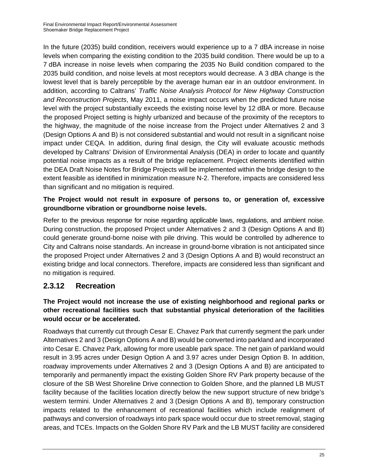In the future (2035) build condition, receivers would experience up to a 7 dBA increase in noise levels when comparing the existing condition to the 2035 build condition. There would be up to a 7 dBA increase in noise levels when comparing the 2035 No Build condition compared to the 2035 build condition, and noise levels at most receptors would decrease. A 3 dBA change is the lowest level that is barely perceptible by the average human ear in an outdoor environment. In addition, according to Caltrans' *Traffic Noise Analysis Protocol for New Highway Construction and Reconstruction Projects*, May 2011, a noise impact occurs when the predicted future noise level with the project substantially exceeds the existing noise level by 12 dBA or more. Because the proposed Project setting is highly urbanized and because of the proximity of the receptors to the highway, the magnitude of the noise increase from the Project under Alternatives 2 and 3 (Design Options A and B) is not considered substantial and would not result in a significant noise impact under CEQA. In addition, during final design, the City will evaluate acoustic methods developed by Caltrans' Division of Environmental Analysis (DEA) in order to locate and quantify potential noise impacts as a result of the bridge replacement. Project elements identified within the DEA Draft Noise Notes for Bridge Projects will be implemented within the bridge design to the extent feasible as identified in minimization measure N-2. Therefore, impacts are considered less than significant and no mitigation is required.

#### **The Project would not result in exposure of persons to, or generation of, excessive groundborne vibration or groundborne noise levels.**

Refer to the previous response for noise regarding applicable laws, regulations, and ambient noise. During construction, the proposed Project under Alternatives 2 and 3 (Design Options A and B) could generate ground-borne noise with pile driving. This would be controlled by adherence to City and Caltrans noise standards. An increase in ground-borne vibration is not anticipated since the proposed Project under Alternatives 2 and 3 (Design Options A and B) would reconstruct an existing bridge and local connectors. Therefore, impacts are considered less than significant and no mitigation is required.

#### **2.3.12 Recreation**

#### **The Project would not increase the use of existing neighborhood and regional parks or other recreational facilities such that substantial physical deterioration of the facilities would occur or be accelerated.**

Roadways that currently cut through Cesar E. Chavez Park that currently segment the park under Alternatives 2 and 3 (Design Options A and B) would be converted into parkland and incorporated into Cesar E. Chavez Park, allowing for more useable park space. The net gain of parkland would result in 3.95 acres under Design Option A and 3.97 acres under Design Option B. In addition, roadway improvements under Alternatives 2 and 3 (Design Options A and B) are anticipated to temporarily and permanently impact the existing Golden Shore RV Park property because of the closure of the SB West Shoreline Drive connection to Golden Shore, and the planned LB MUST facility because of the facilities location directly below the new support structure of new bridge's western termini. Under Alternatives 2 and 3 (Design Options A and B), temporary construction impacts related to the enhancement of recreational facilities which include realignment of pathways and conversion of roadways into park space would occur due to street removal, staging areas, and TCEs. Impacts on the Golden Shore RV Park and the LB MUST facility are considered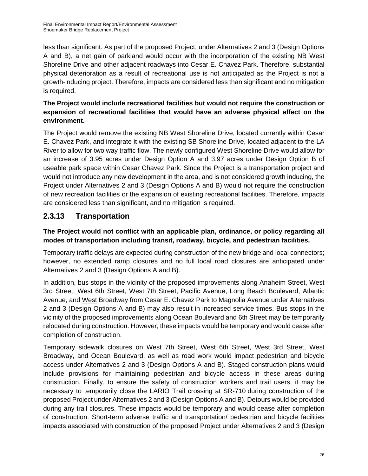less than significant. As part of the proposed Project, under Alternatives 2 and 3 (Design Options A and B), a net gain of parkland would occur with the incorporation of the existing NB West Shoreline Drive and other adjacent roadways into Cesar E. Chavez Park. Therefore, substantial physical deterioration as a result of recreational use is not anticipated as the Project is not a growth-inducing project. Therefore, impacts are considered less than significant and no mitigation is required.

#### **The Project would include recreational facilities but would not require the construction or expansion of recreational facilities that would have an adverse physical effect on the environment.**

The Project would remove the existing NB West Shoreline Drive, located currently within Cesar E. Chavez Park, and integrate it with the existing SB Shoreline Drive, located adjacent to the LA River to allow for two way traffic flow. The newly configured West Shoreline Drive would allow for an increase of 3.95 acres under Design Option A and 3.97 acres under Design Option B of useable park space within Cesar Chavez Park. Since the Project is a transportation project and would not introduce any new development in the area, and is not considered growth inducing, the Project under Alternatives 2 and 3 (Design Options A and B) would not require the construction of new recreation facilities or the expansion of existing recreational facilities. Therefore, impacts are considered less than significant, and no mitigation is required.

## **2.3.13 Transportation**

#### **The Project would not conflict with an applicable plan, ordinance, or policy regarding all modes of transportation including transit, roadway, bicycle, and pedestrian facilities.**

Temporary traffic delays are expected during construction of the new bridge and local connectors; however, no extended ramp closures and no full local road closures are anticipated under Alternatives 2 and 3 (Design Options A and B).

In addition, bus stops in the vicinity of the proposed improvements along Anaheim Street, West 3rd Street, West 6th Street, West 7th Street, Pacific Avenue, Long Beach Boulevard, Atlantic Avenue, and West Broadway from Cesar E. Chavez Park to Magnolia Avenue under Alternatives 2 and 3 (Design Options A and B) may also result in increased service times. Bus stops in the vicinity of the proposed improvements along Ocean Boulevard and 6th Street may be temporarily relocated during construction. However, these impacts would be temporary and would cease after completion of construction.

Temporary sidewalk closures on West 7th Street, West 6th Street, West 3rd Street, West Broadway, and Ocean Boulevard, as well as road work would impact pedestrian and bicycle access under Alternatives 2 and 3 (Design Options A and B). Staged construction plans would include provisions for maintaining pedestrian and bicycle access in these areas during construction. Finally, to ensure the safety of construction workers and trail users, it may be necessary to temporarily close the LARIO Trail crossing at SR-710 during construction of the proposed Project under Alternatives 2 and 3 (Design Options A and B). Detours would be provided during any trail closures. These impacts would be temporary and would cease after completion of construction. Short-term adverse traffic and transportation/ pedestrian and bicycle facilities impacts associated with construction of the proposed Project under Alternatives 2 and 3 (Design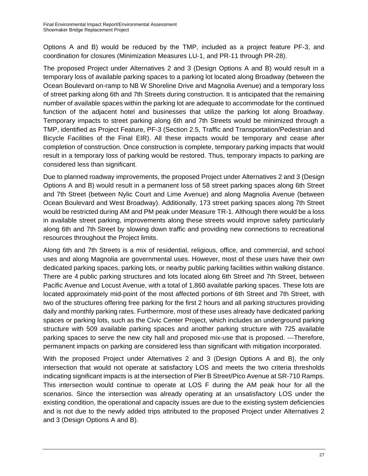Options A and B) would be reduced by the TMP, included as a project feature PF-3, and coordination for closures (Minimization Measures LU-1, and PR-11 through PR-28).

The proposed Project under Alternatives 2 and 3 (Design Options A and B) would result in a temporary loss of available parking spaces to a parking lot located along Broadway (between the Ocean Boulevard on-ramp to NB W Shoreline Drive and Magnolia Avenue) and a temporary loss of street parking along 6th and 7th Streets during construction. It is anticipated that the remaining number of available spaces within the parking lot are adequate to accommodate for the continued function of the adjacent hotel and businesses that utilize the parking lot along Broadway. Temporary impacts to street parking along 6th and 7th Streets would be minimized through a TMP, identified as Project Feature, PF-3 (Section 2.5, Traffic and Transportation/Pedestrian and Bicycle Facilities of the Final EIR). All these impacts would be temporary and cease after completion of construction. Once construction is complete, temporary parking impacts that would result in a temporary loss of parking would be restored. Thus, temporary impacts to parking are considered less than significant.

Due to planned roadway improvements, the proposed Project under Alternatives 2 and 3 (Design Options A and B) would result in a permanent loss of 58 street parking spaces along 6th Street and 7th Street (between Nylic Court and Lime Avenue) and along Magnolia Avenue (between Ocean Boulevard and West Broadway). Additionally, 173 street parking spaces along 7th Street would be restricted during AM and PM peak under Measure TR-1. Although there would be a loss in available street parking, improvements along these streets would improve safety particularly along 6th and 7th Street by slowing down traffic and providing new connections to recreational resources throughout the Project limits.

Along 6th and 7th Streets is a mix of residential, religious, office, and commercial, and school uses and along Magnolia are governmental uses. However, most of these uses have their own dedicated parking spaces, parking lots, or nearby public parking facilities within walking distance. There are 4 public parking structures and lots located along 6th Street and 7th Street, between Pacific Avenue and Locust Avenue, with a total of 1,860 available parking spaces. These lots are located approximately mid-point of the most affected portions of 6th Street and 7th Street, with two of the structures offering free parking for the first 2 hours and all parking structures providing daily and monthly parking rates. Furthermore, most of these uses already have dedicated parking spaces or parking lots, such as the Civic Center Project, which includes an underground parking structure with 509 available parking spaces and another parking structure with 725 available parking spaces to serve the new city hall and proposed mix-use that is proposed. ---Therefore, permanent impacts on parking are considered less than significant with mitigation incorporated.

With the proposed Project under Alternatives 2 and 3 (Design Options A and B), the only intersection that would not operate at satisfactory LOS and meets the two criteria thresholds indicating significant impacts is at the intersection of Pier B Street/Pico Avenue at SR-710 Ramps. This intersection would continue to operate at LOS F during the AM peak hour for all the scenarios. Since the intersection was already operating at an unsatisfactory LOS under the existing condition, the operational and capacity issues are due to the existing system deficiencies and is not due to the newly added trips attributed to the proposed Project under Alternatives 2 and 3 (Design Options A and B).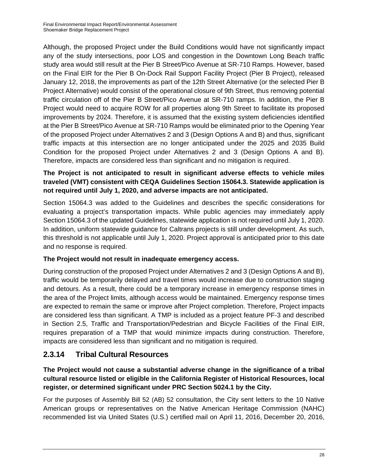Although, the proposed Project under the Build Conditions would have not significantly impact any of the study intersections, poor LOS and congestion in the Downtown Long Beach traffic study area would still result at the Pier B Street/Pico Avenue at SR-710 Ramps. However, based on the Final EIR for the Pier B On-Dock Rail Support Facility Project (Pier B Project), released January 12, 2018, the improvements as part of the 12th Street Alternative (or the selected Pier B Project Alternative) would consist of the operational closure of 9th Street, thus removing potential traffic circulation off of the Pier B Street/Pico Avenue at SR-710 ramps. In addition, the Pier B Project would need to acquire ROW for all properties along 9th Street to facilitate its proposed improvements by 2024. Therefore, it is assumed that the existing system deficiencies identified at the Pier B Street/Pico Avenue at SR-710 Ramps would be eliminated prior to the Opening Year of the proposed Project under Alternatives 2 and 3 (Design Options A and B) and thus, significant traffic impacts at this intersection are no longer anticipated under the 2025 and 2035 Build Condition for the proposed Project under Alternatives 2 and 3 (Design Options A and B). Therefore, impacts are considered less than significant and no mitigation is required.

#### **The Project is not anticipated to result in significant adverse effects to vehicle miles traveled (VMT) consistent with CEQA Guidelines Section 15064.3. Statewide application is not required until July 1, 2020, and adverse impacts are not anticipated.**

Section 15064.3 was added to the Guidelines and describes the specific considerations for evaluating a project's transportation impacts. While public agencies may immediately apply Section 15064.3 of the updated Guidelines, statewide application is not required until July 1, 2020. In addition, uniform statewide guidance for Caltrans projects is still under development. As such, this threshold is not applicable until July 1, 2020. Project approval is anticipated prior to this date and no response is required.

#### **The Project would not result in inadequate emergency access.**

During construction of the proposed Project under Alternatives 2 and 3 (Design Options A and B), traffic would be temporarily delayed and travel times would increase due to construction staging and detours. As a result, there could be a temporary increase in emergency response times in the area of the Project limits, although access would be maintained. Emergency response times are expected to remain the same or improve after Project completion. Therefore, Project impacts are considered less than significant. A TMP is included as a project feature PF-3 and described in Section 2.5, Traffic and Transportation/Pedestrian and Bicycle Facilities of the Final EIR, requires preparation of a TMP that would minimize impacts during construction. Therefore, impacts are considered less than significant and no mitigation is required.

## **2.3.14 Tribal Cultural Resources**

**The Project would not cause a substantial adverse change in the significance of a tribal cultural resource listed or eligible in the California Register of Historical Resources, local register, or determined significant under PRC Section 5024.1 by the City.** 

For the purposes of Assembly Bill 52 (AB) 52 consultation, the City sent letters to the 10 Native American groups or representatives on the Native American Heritage Commission (NAHC) recommended list via United States (U.S.) certified mail on April 11, 2016, December 20, 2016,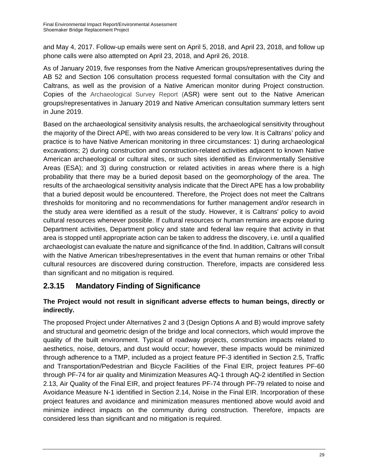and May 4, 2017. Follow-up emails were sent on April 5, 2018, and April 23, 2018, and follow up phone calls were also attempted on April 23, 2018, and April 26, 2018.

As of January 2019, five responses from the Native American groups/representatives during the AB 52 and Section 106 consultation process requested formal consultation with the City and Caltrans, as well as the provision of a Native American monitor during Project construction. Copies of the Archaeological Survey Report (ASR) were sent out to the Native American groups/representatives in January 2019 and Native American consultation summary letters sent in June 2019.

Based on the archaeological sensitivity analysis results, the archaeological sensitivity throughout the majority of the Direct APE, with two areas considered to be very low. It is Caltrans' policy and practice is to have Native American monitoring in three circumstances: 1) during archaeological excavations; 2) during construction and construction-related activities adjacent to known Native American archaeological or cultural sites, or such sites identified as Environmentally Sensitive Areas (ESA); and 3) during construction or related activities in areas where there is a high probability that there may be a buried deposit based on the geomorphology of the area. The results of the archaeological sensitivity analysis indicate that the Direct APE has a low probability that a buried deposit would be encountered. Therefore, the Project does not meet the Caltrans thresholds for monitoring and no recommendations for further management and/or research in the study area were identified as a result of the study. However, it is Caltrans' policy to avoid cultural resources whenever possible. If cultural resources or human remains are expose during Department activities, Department policy and state and federal law require that activity in that area is stopped until appropriate action can be taken to address the discovery, i.e. until a qualified archaeologist can evaluate the nature and significance of the find. In addition, Caltrans will consult with the Native American tribes/representatives in the event that human remains or other Tribal cultural resources are discovered during construction. Therefore, impacts are considered less than significant and no mitigation is required.

## **2.3.15 Mandatory Finding of Significance**

#### **The Project would not result in significant adverse effects to human beings, directly or indirectly.**

The proposed Project under Alternatives 2 and 3 (Design Options A and B) would improve safety and structural and geometric design of the bridge and local connectors, which would improve the quality of the built environment. Typical of roadway projects, construction impacts related to aesthetics, noise, detours, and dust would occur; however, these impacts would be minimized through adherence to a TMP, included as a project feature PF-3 identified in Section 2.5, Traffic and Transportation/Pedestrian and Bicycle Facilities of the Final EIR, project features PF-60 through PF-74 for air quality and Minimization Measures AQ-1 through AQ-2 identified in Section 2.13, Air Quality of the Final EIR, and project features PF-74 through PF-79 related to noise and Avoidance Measure N-1 identified in Section 2.14, Noise in the Final EIR. Incorporation of these project features and avoidance and minimization measures mentioned above would avoid and minimize indirect impacts on the community during construction. Therefore, impacts are considered less than significant and no mitigation is required.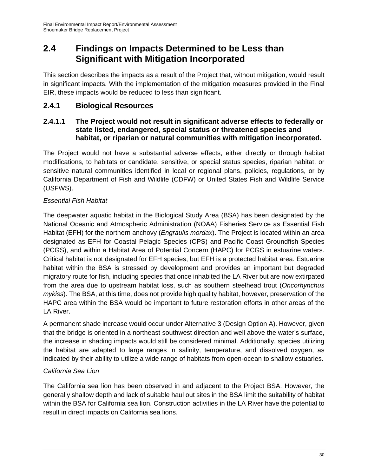## **2.4 Findings on Impacts Determined to be Less than Significant with Mitigation Incorporated**

This section describes the impacts as a result of the Project that, without mitigation, would result in significant impacts. With the implementation of the mitigation measures provided in the Final EIR, these impacts would be reduced to less than significant.

### **2.4.1 Biological Resources**

#### **2.4.1.1 The Project would not result in significant adverse effects to federally or state listed, endangered, special status or threatened species and habitat, or riparian or natural communities with mitigation incorporated.**

The Project would not have a substantial adverse effects, either directly or through habitat modifications, to habitats or candidate, sensitive, or special status species, riparian habitat, or sensitive natural communities identified in local or regional plans, policies, regulations, or by California Department of Fish and Wildlife (CDFW) or United States Fish and Wildlife Service (USFWS).

#### *Essential Fish Habitat*

The deepwater aquatic habitat in the Biological Study Area (BSA) has been designated by the National Oceanic and Atmospheric Administration (NOAA) Fisheries Service as Essential Fish Habitat (EFH) for the northern anchovy (*Engraulis mordax*). The Project is located within an area designated as EFH for Coastal Pelagic Species (CPS) and Pacific Coast Groundfish Species (PCGS), and within a Habitat Area of Potential Concern (HAPC) for PCGS in estuarine waters. Critical habitat is not designated for EFH species, but EFH is a protected habitat area. Estuarine habitat within the BSA is stressed by development and provides an important but degraded migratory route for fish, including species that once inhabited the LA River but are now extirpated from the area due to upstream habitat loss, such as southern steelhead trout (*Oncorhynchus mykiss*). The BSA, at this time, does not provide high quality habitat, however, preservation of the HAPC area within the BSA would be important to future restoration efforts in other areas of the LA River.

A permanent shade increase would occur under Alternative 3 (Design Option A). However, given that the bridge is oriented in a northeast southwest direction and well above the water's surface, the increase in shading impacts would still be considered minimal. Additionally, species utilizing the habitat are adapted to large ranges in salinity, temperature, and dissolved oxygen, as indicated by their ability to utilize a wide range of habitats from open-ocean to shallow estuaries.

#### *California Sea Lion*

The California sea lion has been observed in and adjacent to the Project BSA. However, the generally shallow depth and lack of suitable haul out sites in the BSA limit the suitability of habitat within the BSA for California sea lion. Construction activities in the LA River have the potential to result in direct impacts on California sea lions.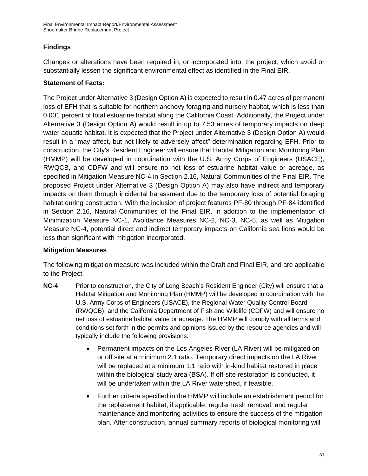#### **Findings**

Changes or alterations have been required in, or incorporated into, the project, which avoid or substantially lessen the significant environmental effect as identified in the Final EIR.

#### **Statement of Facts:**

The Project under Alternative 3 (Design Option A) is expected to result in 0.47 acres of permanent loss of EFH that is suitable for northern anchovy foraging and nursery habitat, which is less than 0.001 percent of total estuarine habitat along the California Coast. Additionally, the Project under Alternative 3 (Design Option A) would result in up to 7.53 acres of temporary impacts on deep water aquatic habitat. It is expected that the Project under Alternative 3 (Design Option A) would result in a "may affect, but not likely to adversely affect" determination regarding EFH. Prior to construction, the City's Resident Engineer will ensure that Habitat Mitigation and Monitoring Plan (HMMP) will be developed in coordination with the U.S. Army Corps of Engineers (USACE), RWQCB, and CDFW and will ensure no net loss of estuarine habitat value or acreage, as specified in Mitigation Measure NC-4 in Section 2.16, Natural Communities of the Final EIR. The proposed Project under Alternative 3 (Design Option A) may also have indirect and temporary impacts on them through incidental harassment due to the temporary loss of potential foraging habitat during construction. With the inclusion of project features PF-80 through PF-84 identified in Section 2.16, Natural Communities of the Final EIR, in addition to the implementation of Minimization Measure NC-1, Avoidance Measures NC-2, NC-3, NC-5, as well as Mitigation Measure NC-4, potential direct and indirect temporary impacts on California sea lions would be less than significant with mitigation incorporated.

#### **Mitigation Measures**

The following mitigation measure was included within the Draft and Final EIR, and are applicable to the Project.

- **NC-4** Prior to construction, the City of Long Beach's Resident Engineer (City) will ensure that a Habitat Mitigation and Monitoring Plan (HMMP) will be developed in coordination with the U.S. Army Corps of Engineers (USACE), the Regional Water Quality Control Board (RWQCB), and the California Department of Fish and Wildlife (CDFW) and will ensure no net loss of estuarine habitat value or acreage. The HMMP will comply with all terms and conditions set forth in the permits and opinions issued by the resource agencies and will typically include the following provisions:
	- Permanent impacts on the Los Angeles River (LA River) will be mitigated on or off site at a minimum 2:1 ratio. Temporary direct impacts on the LA River will be replaced at a minimum 1:1 ratio with in-kind habitat restored in place within the biological study area (BSA). If off-site restoration is conducted, it will be undertaken within the LA River watershed, if feasible.
	- Further criteria specified in the HMMP will include an establishment period for the replacement habitat, if applicable; regular trash removal; and regular maintenance and monitoring activities to ensure the success of the mitigation plan. After construction, annual summary reports of biological monitoring will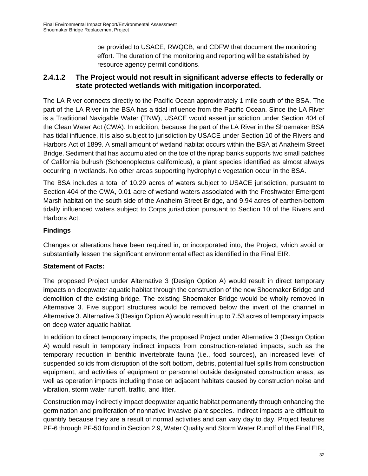be provided to USACE, RWQCB, and CDFW that document the monitoring effort. The duration of the monitoring and reporting will be established by resource agency permit conditions.

#### **2.4.1.2 The Project would not result in significant adverse effects to federally or state protected wetlands with mitigation incorporated.**

The LA River connects directly to the Pacific Ocean approximately 1 mile south of the BSA. The part of the LA River in the BSA has a tidal influence from the Pacific Ocean. Since the LA River is a Traditional Navigable Water (TNW), USACE would assert jurisdiction under Section 404 of the Clean Water Act (CWA). In addition, because the part of the LA River in the Shoemaker BSA has tidal influence, it is also subject to jurisdiction by USACE under Section 10 of the Rivers and Harbors Act of 1899. A small amount of wetland habitat occurs within the BSA at Anaheim Street Bridge. Sediment that has accumulated on the toe of the riprap banks supports two small patches of California bulrush (Schoenoplectus californicus), a plant species identified as almost always occurring in wetlands. No other areas supporting hydrophytic vegetation occur in the BSA.

The BSA includes a total of 10.29 acres of waters subject to USACE jurisdiction, pursuant to Section 404 of the CWA, 0.01 acre of wetland waters associated with the Freshwater Emergent Marsh habitat on the south side of the Anaheim Street Bridge, and 9.94 acres of earthen-bottom tidally influenced waters subject to Corps jurisdiction pursuant to Section 10 of the Rivers and Harbors Act.

#### **Findings**

Changes or alterations have been required in, or incorporated into, the Project, which avoid or substantially lessen the significant environmental effect as identified in the Final EIR.

#### **Statement of Facts:**

The proposed Project under Alternative 3 (Design Option A) would result in direct temporary impacts on deepwater aquatic habitat through the construction of the new Shoemaker Bridge and demolition of the existing bridge. The existing Shoemaker Bridge would be wholly removed in Alternative 3. Five support structures would be removed below the invert of the channel in Alternative 3. Alternative 3 (Design Option A) would result in up to 7.53 acres of temporary impacts on deep water aquatic habitat.

In addition to direct temporary impacts, the proposed Project under Alternative 3 (Design Option A) would result in temporary indirect impacts from construction-related impacts, such as the temporary reduction in benthic invertebrate fauna (i.e., food sources), an increased level of suspended solids from disruption of the soft bottom, debris, potential fuel spills from construction equipment, and activities of equipment or personnel outside designated construction areas, as well as operation impacts including those on adjacent habitats caused by construction noise and vibration, storm water runoff, traffic, and litter.

Construction may indirectly impact deepwater aquatic habitat permanently through enhancing the germination and proliferation of nonnative invasive plant species. Indirect impacts are difficult to quantify because they are a result of normal activities and can vary day to day. Project features PF-6 through PF-50 found in Section 2.9, Water Quality and Storm Water Runoff of the Final EIR,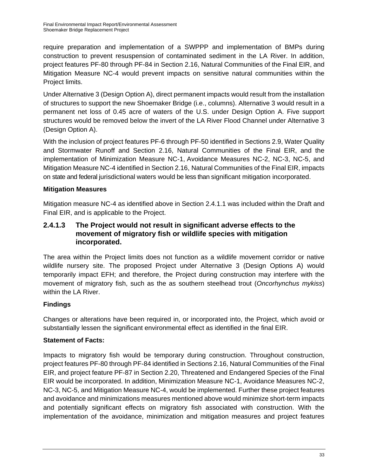require preparation and implementation of a SWPPP and implementation of BMPs during construction to prevent resuspension of contaminated sediment in the LA River. In addition, project features PF-80 through PF-84 in Section 2.16, Natural Communities of the Final EIR, and Mitigation Measure NC-4 would prevent impacts on sensitive natural communities within the Project limits.

Under Alternative 3 (Design Option A), direct permanent impacts would result from the installation of structures to support the new Shoemaker Bridge (i.e., columns). Alternative 3 would result in a permanent net loss of 0.45 acre of waters of the U.S. under Design Option A. Five support structures would be removed below the invert of the LA River Flood Channel under Alternative 3 (Design Option A).

With the inclusion of project features PF-6 through PF-50 identified in Sections 2.9, Water Quality and Stormwater Runoff and Section 2.16, Natural Communities of the Final EIR, and the implementation of Minimization Measure NC-1, Avoidance Measures NC-2, NC-3, NC-5, and Mitigation Measure NC-4 identified in Section 2.16, Natural Communities of the Final EIR, impacts on state and federal jurisdictional waters would be less than significant mitigation incorporated.

#### **Mitigation Measures**

Mitigation measure NC-4 as identified above in Section 2.4.1.1 was included within the Draft and Final EIR, and is applicable to the Project.

#### **2.4.1.3 The Project would not result in significant adverse effects to the movement of migratory fish or wildlife species with mitigation incorporated.**

The area within the Project limits does not function as a wildlife movement corridor or native wildlife nursery site. The proposed Project under Alternative 3 (Design Options A) would temporarily impact EFH; and therefore, the Project during construction may interfere with the movement of migratory fish, such as the as southern steelhead trout (*Oncorhynchus mykiss*) within the LA River.

#### **Findings**

Changes or alterations have been required in, or incorporated into, the Project, which avoid or substantially lessen the significant environmental effect as identified in the final EIR.

#### **Statement of Facts:**

Impacts to migratory fish would be temporary during construction. Throughout construction, project features PF-80 through PF-84 identified in Sections 2.16, Natural Communities of the Final EIR, and project feature PF-87 in Section 2.20, Threatened and Endangered Species of the Final EIR would be incorporated. In addition, Minimization Measure NC-1, Avoidance Measures NC-2, NC-3, NC-5, and Mitigation Measure NC-4, would be implemented. Further these project features and avoidance and minimizations measures mentioned above would minimize short-term impacts and potentially significant effects on migratory fish associated with construction. With the implementation of the avoidance, minimization and mitigation measures and project features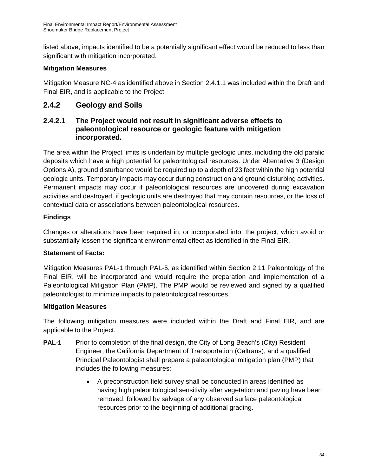listed above, impacts identified to be a potentially significant effect would be reduced to less than significant with mitigation incorporated.

#### **Mitigation Measures**

Mitigation Measure NC-4 as identified above in Section 2.4.1.1 was included within the Draft and Final EIR, and is applicable to the Project.

## **2.4.2 Geology and Soils**

#### **2.4.2.1 The Project would not result in significant adverse effects to paleontological resource or geologic feature with mitigation incorporated.**

The area within the Project limits is underlain by multiple geologic units, including the old paralic deposits which have a high potential for paleontological resources. Under Alternative 3 (Design Options A), ground disturbance would be required up to a depth of 23 feet within the high potential geologic units. Temporary impacts may occur during construction and ground disturbing activities. Permanent impacts may occur if paleontological resources are uncovered during excavation activities and destroyed, if geologic units are destroyed that may contain resources, or the loss of contextual data or associations between paleontological resources.

#### **Findings**

Changes or alterations have been required in, or incorporated into, the project, which avoid or substantially lessen the significant environmental effect as identified in the Final EIR.

#### **Statement of Facts:**

Mitigation Measures PAL-1 through PAL-5, as identified within Section 2.11 Paleontology of the Final EIR, will be incorporated and would require the preparation and implementation of a Paleontological Mitigation Plan (PMP). The PMP would be reviewed and signed by a qualified paleontologist to minimize impacts to paleontological resources.

#### **Mitigation Measures**

The following mitigation measures were included within the Draft and Final EIR, and are applicable to the Project.

- **PAL-1** Prior to completion of the final design, the City of Long Beach's (City) Resident Engineer, the California Department of Transportation (Caltrans), and a qualified Principal Paleontologist shall prepare a paleontological mitigation plan (PMP) that includes the following measures:
	- A preconstruction field survey shall be conducted in areas identified as having high paleontological sensitivity after vegetation and paving have been removed, followed by salvage of any observed surface paleontological resources prior to the beginning of additional grading.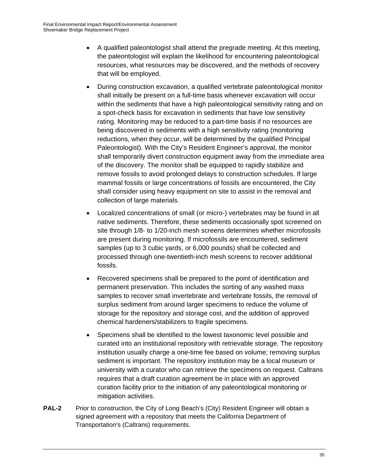- A qualified paleontologist shall attend the pregrade meeting. At this meeting, the paleontologist will explain the likelihood for encountering paleontological resources, what resources may be discovered, and the methods of recovery that will be employed.
- During construction excavation, a qualified vertebrate paleontological monitor shall initially be present on a full-time basis whenever excavation will occur within the sediments that have a high paleontological sensitivity rating and on a spot-check basis for excavation in sediments that have low sensitivity rating. Monitoring may be reduced to a part-time basis if no resources are being discovered in sediments with a high sensitivity rating (monitoring reductions, when they occur, will be determined by the qualified Principal Paleontologist). With the City's Resident Engineer's approval, the monitor shall temporarily divert construction equipment away from the immediate area of the discovery. The monitor shall be equipped to rapidly stabilize and remove fossils to avoid prolonged delays to construction schedules. If large mammal fossils or large concentrations of fossils are encountered, the City shall consider using heavy equipment on site to assist in the removal and collection of large materials.
- Localized concentrations of small (or micro-) vertebrates may be found in all native sediments. Therefore, these sediments occasionally spot screened on site through 1/8- to 1/20-inch mesh screens determines whether microfossils are present during monitoring. If microfossils are encountered, sediment samples (up to 3 cubic yards, or 6,000 pounds) shall be collected and processed through one-twentieth-inch mesh screens to recover additional fossils.
- Recovered specimens shall be prepared to the point of identification and permanent preservation. This includes the sorting of any washed mass samples to recover small invertebrate and vertebrate fossils, the removal of surplus sediment from around larger specimens to reduce the volume of storage for the repository and storage cost, and the addition of approved chemical hardeners/stabilizers to fragile specimens.
- Specimens shall be identified to the lowest taxonomic level possible and curated into an institutional repository with retrievable storage. The repository institution usually charge a one-time fee based on volume; removing surplus sediment is important. The repository institution may be a local museum or university with a curator who can retrieve the specimens on request. Caltrans requires that a draft curation agreement be in place with an approved curation facility prior to the initiation of any paleontological monitoring or mitigation activities.
- **PAL-2** Prior to construction, the City of Long Beach's (City) Resident Engineer will obtain a signed agreement with a repository that meets the California Department of Transportation's (Caltrans) requirements.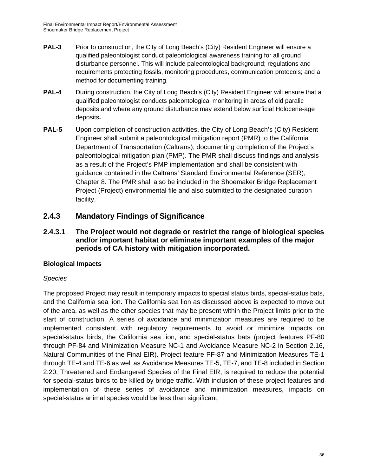- **PAL-3** Prior to construction, the City of Long Beach's (City) Resident Engineer will ensure a qualified paleontologist conduct paleontological awareness training for all ground disturbance personnel. This will include paleontological background; regulations and requirements protecting fossils, monitoring procedures, communication protocols; and a method for documenting training.
- **PAL-4** During construction, the City of Long Beach's (City) Resident Engineer will ensure that a qualified paleontologist conducts paleontological monitoring in areas of old paralic deposits and where any ground disturbance may extend below surficial Holocene-age deposits**.**
- **PAL-5** Upon completion of construction activities, the City of Long Beach's (City) Resident Engineer shall submit a paleontological mitigation report (PMR) to the California Department of Transportation (Caltrans), documenting completion of the Project's paleontological mitigation plan (PMP). The PMR shall discuss findings and analysis as a result of the Project's PMP implementation and shall be consistent with guidance contained in the Caltrans' Standard Environmental Reference (SER), Chapter 8. The PMR shall also be included in the Shoemaker Bridge Replacement Project (Project) environmental file and also submitted to the designated curation facility.

## **2.4.3 Mandatory Findings of Significance**

**2.4.3.1 The Project would not degrade or restrict the range of biological species and/or important habitat or eliminate important examples of the major periods of CA history with mitigation incorporated.** 

#### **Biological Impacts**

#### *Species*

The proposed Project may result in temporary impacts to special status birds, special-status bats, and the California sea lion. The California sea lion as discussed above is expected to move out of the area, as well as the other species that may be present within the Project limits prior to the start of construction. A series of avoidance and minimization measures are required to be implemented consistent with regulatory requirements to avoid or minimize impacts on special-status birds, the California sea lion, and special-status bats (project features PF-80 through PF-84 and Minimization Measure NC-1 and Avoidance Measure NC-2 in Section 2.16, Natural Communities of the Final EIR). Project feature PF-87 and Minimization Measures TE-1 through TE-4 and TE-6 as well as Avoidance Measures TE-5, TE-7, and TE-8 included in Section 2.20, Threatened and Endangered Species of the Final EIR, is required to reduce the potential for special-status birds to be killed by bridge traffic. With inclusion of these project features and implementation of these series of avoidance and minimization measures, impacts on special-status animal species would be less than significant.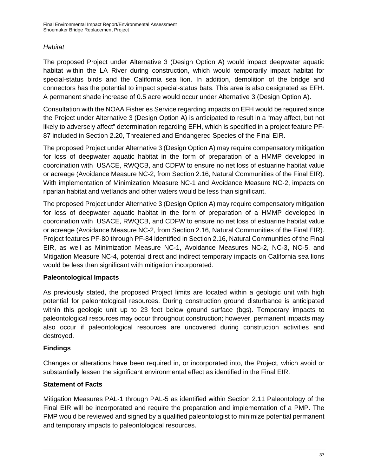#### *Habitat*

The proposed Project under Alternative 3 (Design Option A) would impact deepwater aquatic habitat within the LA River during construction, which would temporarily impact habitat for special-status birds and the California sea lion. In addition, demolition of the bridge and connectors has the potential to impact special-status bats. This area is also designated as EFH. A permanent shade increase of 0.5 acre would occur under Alternative 3 (Design Option A).

Consultation with the NOAA Fisheries Service regarding impacts on EFH would be required since the Project under Alternative 3 (Design Option A) is anticipated to result in a "may affect, but not likely to adversely affect" determination regarding EFH, which is specified in a project feature PF-87 included in Section 2.20, Threatened and Endangered Species of the Final EIR.

The proposed Project under Alternative 3 (Design Option A) may require compensatory mitigation for loss of deepwater aquatic habitat in the form of preparation of a HMMP developed in coordination with USACE, RWQCB, and CDFW to ensure no net loss of estuarine habitat value or acreage (Avoidance Measure NC-2, from Section 2.16, Natural Communities of the Final EIR). With implementation of Minimization Measure NC-1 and Avoidance Measure NC-2, impacts on riparian habitat and wetlands and other waters would be less than significant.

The proposed Project under Alternative 3 (Design Option A) may require compensatory mitigation for loss of deepwater aquatic habitat in the form of preparation of a HMMP developed in coordination with USACE, RWQCB, and CDFW to ensure no net loss of estuarine habitat value or acreage (Avoidance Measure NC-2, from Section 2.16, Natural Communities of the Final EIR). Project features PF-80 through PF-84 identified in Section 2.16, Natural Communities of the Final EIR, as well as Minimization Measure NC-1, Avoidance Measures NC-2, NC-3, NC-5, and Mitigation Measure NC-4, potential direct and indirect temporary impacts on California sea lions would be less than significant with mitigation incorporated.

#### **Paleontological Impacts**

As previously stated, the proposed Project limits are located within a geologic unit with high potential for paleontological resources. During construction ground disturbance is anticipated within this geologic unit up to 23 feet below ground surface (bgs). Temporary impacts to paleontological resources may occur throughout construction; however, permanent impacts may also occur if paleontological resources are uncovered during construction activities and destroyed.

#### **Findings**

Changes or alterations have been required in, or incorporated into, the Project, which avoid or substantially lessen the significant environmental effect as identified in the Final EIR.

#### **Statement of Facts**

Mitigation Measures PAL-1 through PAL-5 as identified within Section 2.11 Paleontology of the Final EIR will be incorporated and require the preparation and implementation of a PMP. The PMP would be reviewed and signed by a qualified paleontologist to minimize potential permanent and temporary impacts to paleontological resources.